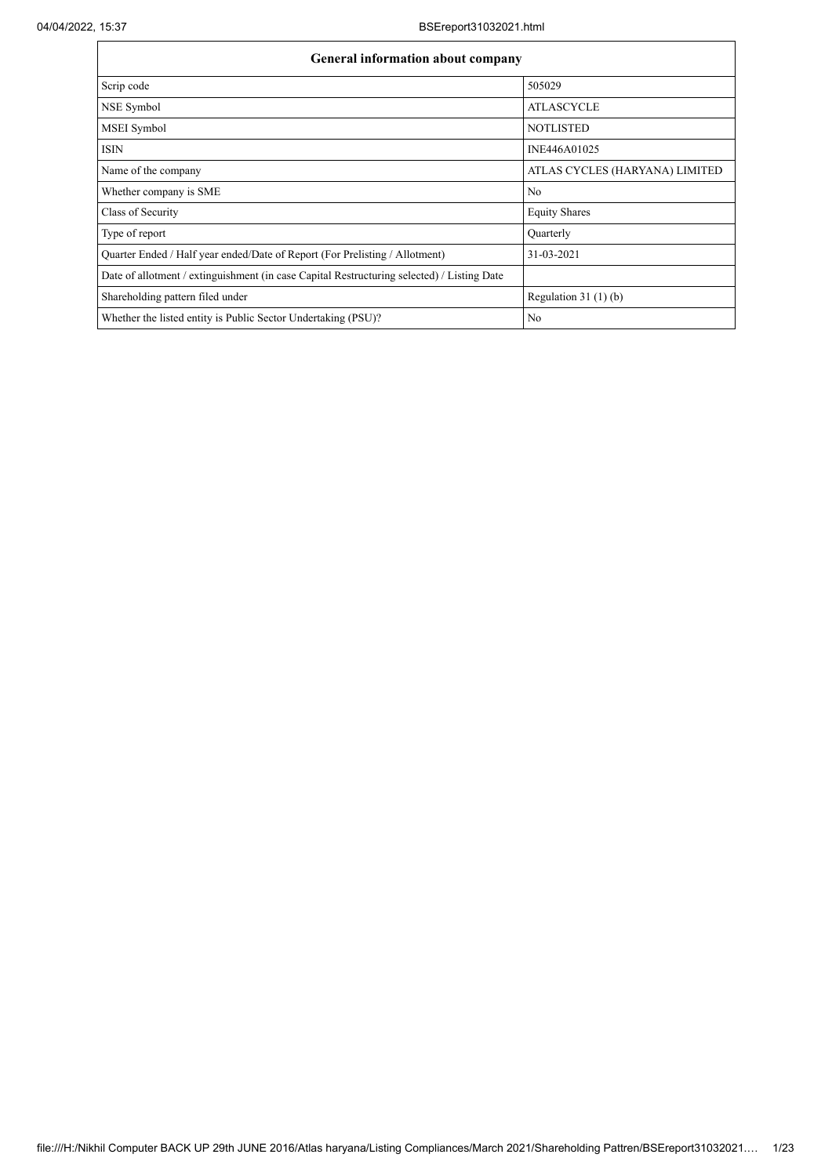| General information about company                                                          |                                |  |  |  |  |  |  |  |
|--------------------------------------------------------------------------------------------|--------------------------------|--|--|--|--|--|--|--|
| Scrip code                                                                                 | 505029                         |  |  |  |  |  |  |  |
| NSE Symbol                                                                                 | <b>ATLASCYCLE</b>              |  |  |  |  |  |  |  |
| MSEI Symbol                                                                                | <b>NOTLISTED</b>               |  |  |  |  |  |  |  |
| <b>ISIN</b>                                                                                | INE446A01025                   |  |  |  |  |  |  |  |
| Name of the company                                                                        | ATLAS CYCLES (HARYANA) LIMITED |  |  |  |  |  |  |  |
| Whether company is SME                                                                     | No                             |  |  |  |  |  |  |  |
| Class of Security                                                                          | <b>Equity Shares</b>           |  |  |  |  |  |  |  |
| Type of report                                                                             | Quarterly                      |  |  |  |  |  |  |  |
| Ouarter Ended / Half year ended/Date of Report (For Prelisting / Allotment)                | 31-03-2021                     |  |  |  |  |  |  |  |
| Date of allotment / extinguishment (in case Capital Restructuring selected) / Listing Date |                                |  |  |  |  |  |  |  |
| Shareholding pattern filed under                                                           | Regulation $31(1)(b)$          |  |  |  |  |  |  |  |
| Whether the listed entity is Public Sector Undertaking (PSU)?                              | No                             |  |  |  |  |  |  |  |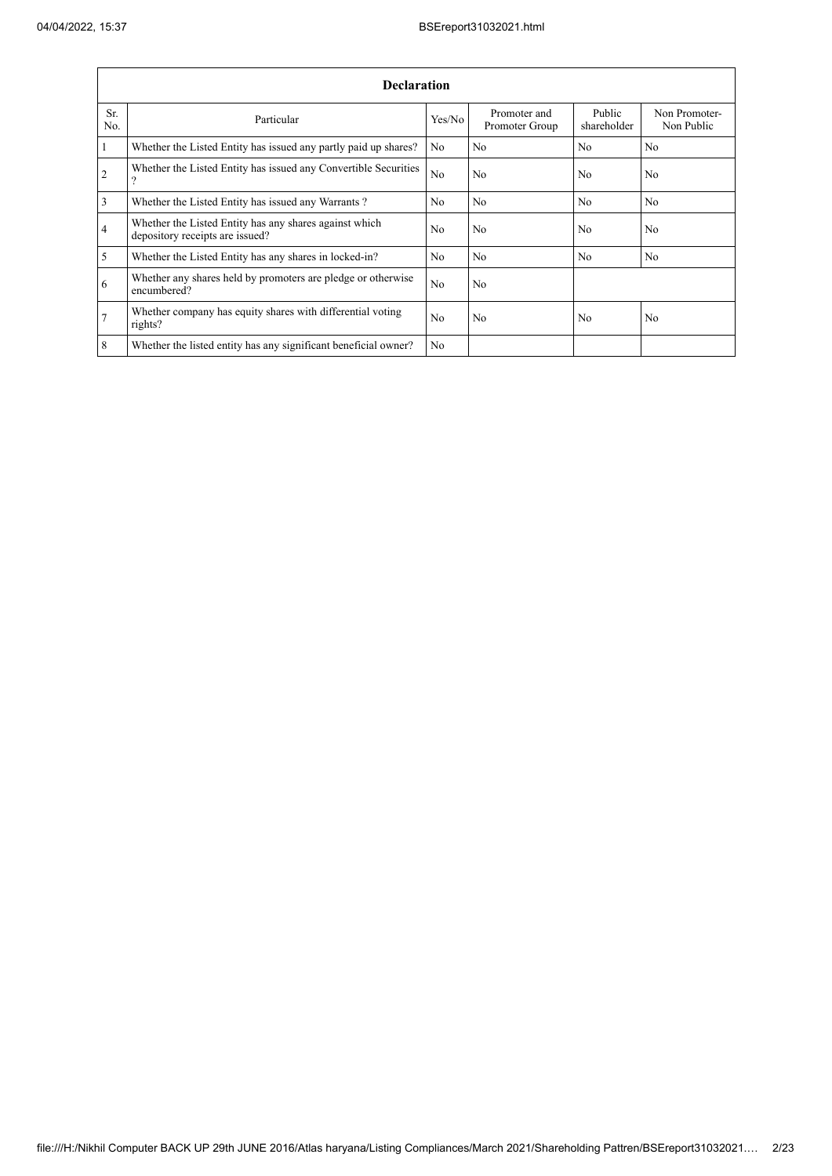Î.

|                | <b>Declaration</b>                                                                        |                |                                |                       |                             |  |  |  |  |  |  |  |
|----------------|-------------------------------------------------------------------------------------------|----------------|--------------------------------|-----------------------|-----------------------------|--|--|--|--|--|--|--|
| Sr.<br>No.     | Particular                                                                                | Yes/No         | Promoter and<br>Promoter Group | Public<br>shareholder | Non Promoter-<br>Non Public |  |  |  |  |  |  |  |
| $\mathbf{1}$   | Whether the Listed Entity has issued any partly paid up shares?                           | N <sub>0</sub> | N <sub>0</sub>                 | N <sub>0</sub>        | N <sub>0</sub>              |  |  |  |  |  |  |  |
| 2              | Whether the Listed Entity has issued any Convertible Securities<br>9                      | N <sub>o</sub> | No                             | N <sub>0</sub>        | N <sub>0</sub>              |  |  |  |  |  |  |  |
| 3              | Whether the Listed Entity has issued any Warrants?                                        | N <sub>0</sub> | N <sub>0</sub>                 | N <sub>0</sub>        | N <sub>0</sub>              |  |  |  |  |  |  |  |
| $\overline{4}$ | Whether the Listed Entity has any shares against which<br>depository receipts are issued? | N <sub>o</sub> | No                             | N <sub>o</sub>        | No                          |  |  |  |  |  |  |  |
| 5              | Whether the Listed Entity has any shares in locked-in?                                    | N <sub>0</sub> | N <sub>0</sub>                 | N <sub>0</sub>        | N <sub>0</sub>              |  |  |  |  |  |  |  |
| 6              | Whether any shares held by promoters are pledge or otherwise<br>encumbered?               | N <sub>0</sub> | N <sub>o</sub>                 |                       |                             |  |  |  |  |  |  |  |
| $\overline{7}$ | Whether company has equity shares with differential voting<br>rights?                     | N <sub>o</sub> | No                             | N <sub>o</sub>        | N <sub>o</sub>              |  |  |  |  |  |  |  |
| 8              | Whether the listed entity has any significant beneficial owner?                           | N <sub>0</sub> |                                |                       |                             |  |  |  |  |  |  |  |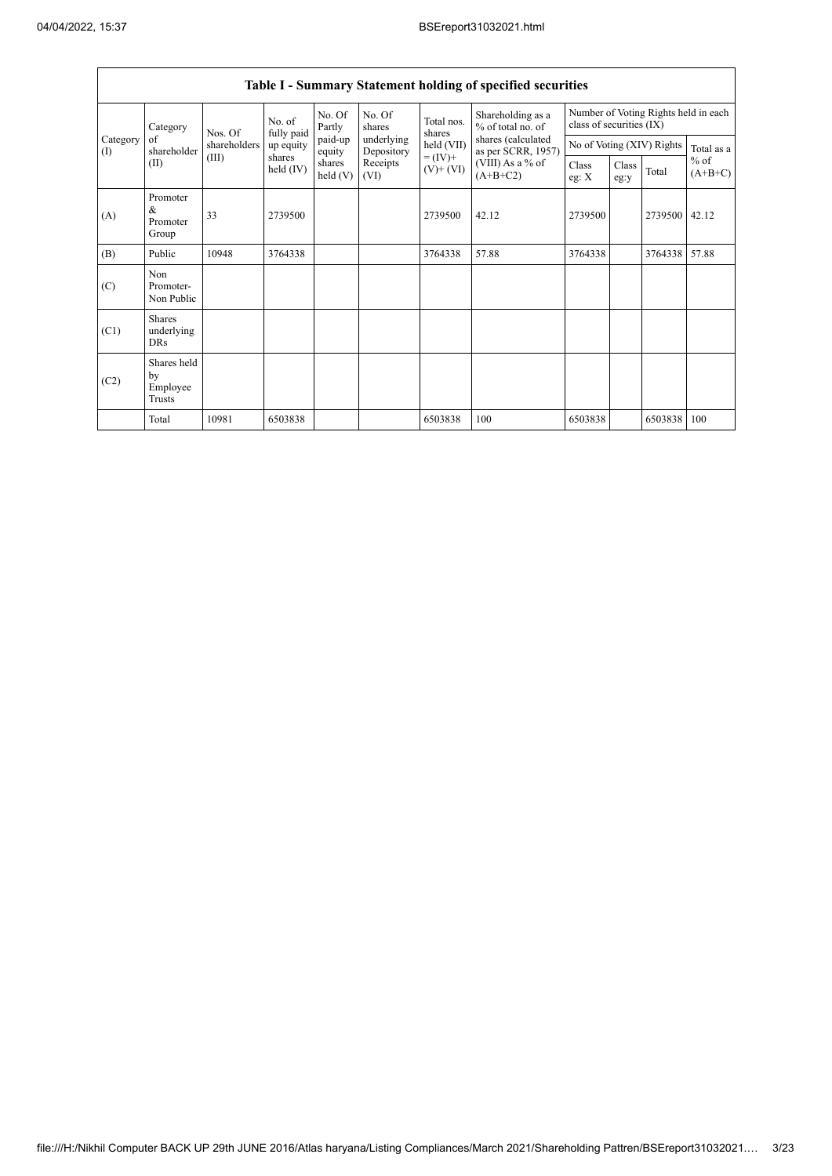$\overline{\phantom{a}}$ 

|                                                 |                                                |                       |                      |                          |                                              |                                          | Table I - Summary Statement holding of specified securities |               |                                                                  |                     |       |  |
|-------------------------------------------------|------------------------------------------------|-----------------------|----------------------|--------------------------|----------------------------------------------|------------------------------------------|-------------------------------------------------------------|---------------|------------------------------------------------------------------|---------------------|-------|--|
|                                                 | Category                                       | Nos. Of               | No. of<br>fully paid | No. Of<br>Partly         | No. Of<br>shares                             | Total nos.<br>shares                     | Shareholding as a<br>% of total no. of                      |               | Number of Voting Rights held in each<br>class of securities (IX) |                     |       |  |
| Category<br>of<br>shareholder<br>$($ I)<br>(II) | shareholders                                   | up equity             | paid-up<br>equity    | underlying<br>Depository | $held$ (VII)<br>$= (IV) +$<br>$(V)$ + $(VI)$ | shares (calculated<br>as per SCRR, 1957) |                                                             |               | No of Voting (XIV) Rights                                        | Total as a          |       |  |
|                                                 | (III)                                          | shares<br>held $(IV)$ | shares<br>held(V)    | Receipts<br>(VI)         |                                              | (VIII) As a % of<br>$(A+B+C2)$           | Class<br>eg: X                                              | Class<br>eg:y | Total                                                            | $%$ of<br>$(A+B+C)$ |       |  |
| (A)                                             | Promoter<br>&<br>Promoter<br>Group             | 33                    | 2739500              |                          |                                              | 2739500                                  | 42.12                                                       | 2739500       |                                                                  | 2739500             | 42.12 |  |
| (B)                                             | Public                                         | 10948                 | 3764338              |                          |                                              | 3764338                                  | 57.88                                                       | 3764338       |                                                                  | 3764338             | 57.88 |  |
| (C)                                             | Non<br>Promoter-<br>Non Public                 |                       |                      |                          |                                              |                                          |                                                             |               |                                                                  |                     |       |  |
| (C1)                                            | <b>Shares</b><br>underlying<br><b>DRs</b>      |                       |                      |                          |                                              |                                          |                                                             |               |                                                                  |                     |       |  |
| (C2)                                            | Shares held<br>by<br>Employee<br><b>Trusts</b> |                       |                      |                          |                                              |                                          |                                                             |               |                                                                  |                     |       |  |
|                                                 | Total                                          | 10981                 | 6503838              |                          |                                              | 6503838                                  | 100                                                         | 6503838       |                                                                  | 6503838             | 100   |  |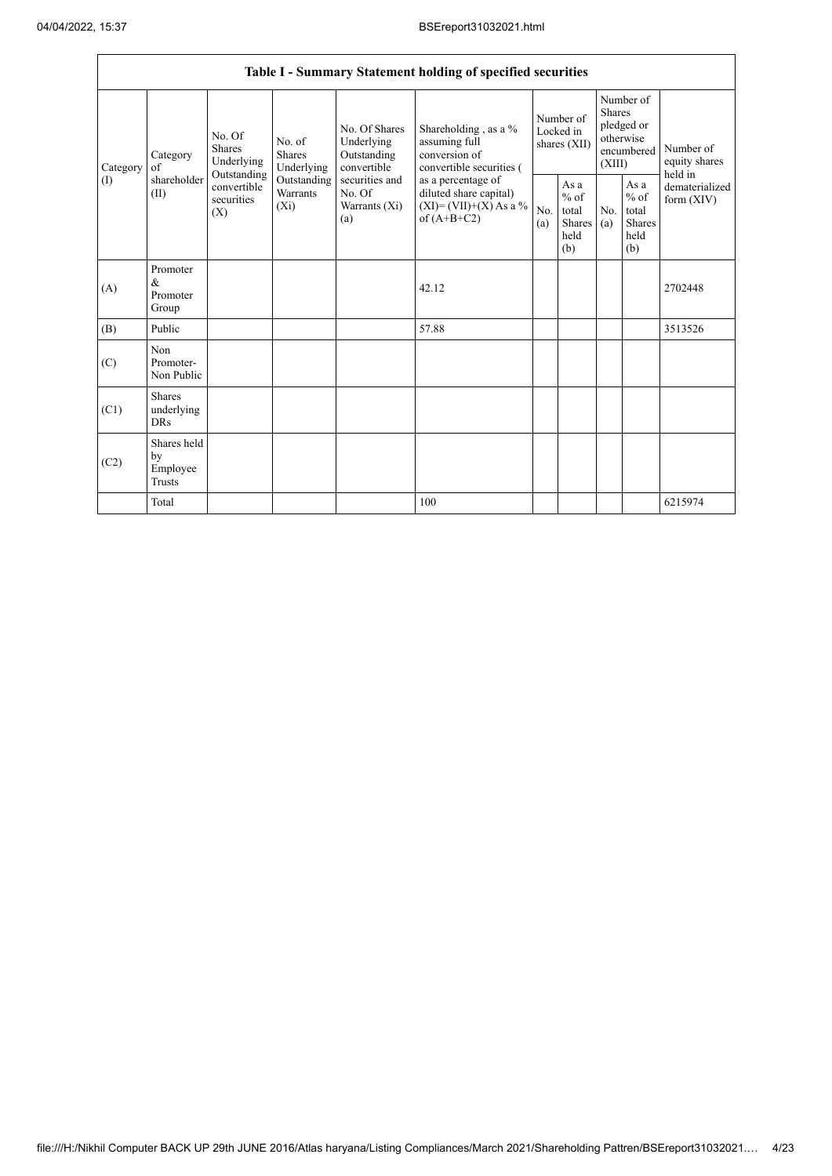|                      |                                                |                                               |                                |                                                                                                               | Table I - Summary Statement holding of specified securities                                |                                        |                                                         |                                                                               |                                                                    |                                       |
|----------------------|------------------------------------------------|-----------------------------------------------|--------------------------------|---------------------------------------------------------------------------------------------------------------|--------------------------------------------------------------------------------------------|----------------------------------------|---------------------------------------------------------|-------------------------------------------------------------------------------|--------------------------------------------------------------------|---------------------------------------|
| Category<br>$\rm(I)$ | Category<br>of                                 | No. Of<br>Shares<br>Underlying<br>Outstanding | No. of<br>Shares<br>Underlying | No. Of Shares<br>Underlying<br>Outstanding<br>convertible<br>securities and<br>No. Of<br>Warrants (Xi)<br>(a) | Shareholding, as a %<br>assuming full<br>conversion of<br>convertible securities (         | Number of<br>Locked in<br>shares (XII) |                                                         | Number of<br><b>Shares</b><br>pledged or<br>otherwise<br>encumbered<br>(XIII) |                                                                    | Number of<br>equity shares<br>held in |
|                      | shareholder<br>(II)                            | convertible<br>securities<br>$(X_i)$<br>(X)   | Outstanding<br><b>Warrants</b> |                                                                                                               | as a percentage of<br>diluted share capital)<br>$(XI) = (VII)+(X) As a %$<br>of $(A+B+C2)$ | No.<br>(a)                             | As a<br>$%$ of<br>total<br><b>Shares</b><br>held<br>(b) | No.<br>(a)                                                                    | As $\mathbf{a}$<br>$%$ of<br>total<br><b>Shares</b><br>held<br>(b) | dematerialized<br>form $(XIV)$        |
| (A)                  | Promoter<br>$\&$<br>Promoter<br>Group          |                                               |                                |                                                                                                               | 42.12                                                                                      |                                        |                                                         |                                                                               |                                                                    | 2702448                               |
| (B)                  | Public                                         |                                               |                                |                                                                                                               | 57.88                                                                                      |                                        |                                                         |                                                                               |                                                                    | 3513526                               |
| (C)                  | Non<br>Promoter-<br>Non Public                 |                                               |                                |                                                                                                               |                                                                                            |                                        |                                                         |                                                                               |                                                                    |                                       |
| (C1)                 | <b>Shares</b><br>underlying<br><b>DRs</b>      |                                               |                                |                                                                                                               |                                                                                            |                                        |                                                         |                                                                               |                                                                    |                                       |
| (C2)                 | Shares held<br>by<br>Employee<br><b>Trusts</b> |                                               |                                |                                                                                                               |                                                                                            |                                        |                                                         |                                                                               |                                                                    |                                       |
|                      | Total                                          |                                               |                                |                                                                                                               | 100                                                                                        |                                        |                                                         |                                                                               |                                                                    | 6215974                               |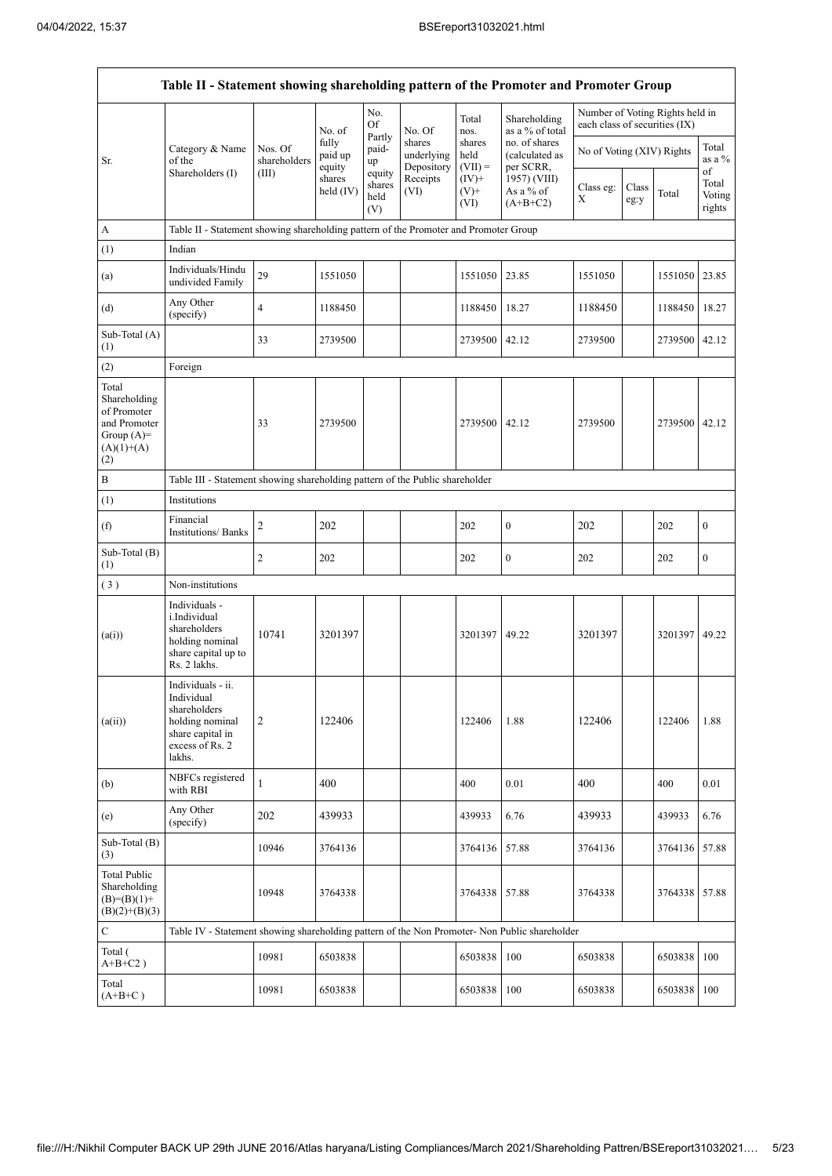$\mathbf{r}$ 

|                                                                                             | Table II - Statement showing shareholding pattern of the Promoter and Promoter Group                                |                                  |                            |                                 |                                    |                             |                                              |                                                                  |               |               |                           |
|---------------------------------------------------------------------------------------------|---------------------------------------------------------------------------------------------------------------------|----------------------------------|----------------------------|---------------------------------|------------------------------------|-----------------------------|----------------------------------------------|------------------------------------------------------------------|---------------|---------------|---------------------------|
|                                                                                             |                                                                                                                     |                                  | No. of                     | No.<br>Of                       | No. Of                             | Total<br>nos.               | Shareholding<br>as a % of total              | Number of Voting Rights held in<br>each class of securities (IX) |               |               |                           |
| Sr.                                                                                         | Category & Name<br>of the<br>Shareholders (I)                                                                       | Nos. Of<br>shareholders<br>(III) | fully<br>paid up<br>equity | Partly<br>paid-<br>up           | shares<br>underlying<br>Depository | shares<br>held<br>$(VII) =$ | no. of shares<br>(calculated as<br>per SCRR, | No of Voting (XIV) Rights                                        |               |               | Total<br>as a %<br>of     |
|                                                                                             |                                                                                                                     |                                  | shares<br>held $(IV)$      | equity<br>shares<br>held<br>(V) | Receipts<br>(VI)                   | $(IV)+$<br>$(V)+$<br>(VI)   | 1957) (VIII)<br>As a % of<br>$(A+B+C2)$      | Class eg:<br>$\mathbf X$                                         | Class<br>eg:y | Total         | Total<br>Voting<br>rights |
| A                                                                                           | Table II - Statement showing shareholding pattern of the Promoter and Promoter Group                                |                                  |                            |                                 |                                    |                             |                                              |                                                                  |               |               |                           |
| (1)                                                                                         | Indian                                                                                                              |                                  |                            |                                 |                                    |                             |                                              |                                                                  |               |               |                           |
| (a)                                                                                         | Individuals/Hindu<br>undivided Family                                                                               | 29                               | 1551050                    |                                 |                                    | 1551050                     | 23.85                                        | 1551050                                                          |               | 1551050 23.85 |                           |
| (d)                                                                                         | Any Other<br>(specify)                                                                                              | $\overline{4}$                   | 1188450                    |                                 |                                    | 1188450                     | 18.27                                        | 1188450                                                          |               | 1188450 18.27 |                           |
| Sub-Total (A)<br>(1)                                                                        |                                                                                                                     | 33                               | 2739500                    |                                 |                                    | 2739500                     | 42.12                                        | 2739500                                                          |               | 2739500 42.12 |                           |
| (2)                                                                                         | Foreign                                                                                                             |                                  |                            |                                 |                                    |                             |                                              |                                                                  |               |               |                           |
| Total<br>Shareholding<br>of Promoter<br>and Promoter<br>Group $(A)=$<br>$(A)(1)+(A)$<br>(2) |                                                                                                                     | 33                               | 2739500                    |                                 |                                    | 2739500                     | 42.12                                        | 2739500                                                          |               | 2739500 42.12 |                           |
| $\, {\bf B}$                                                                                | Table III - Statement showing shareholding pattern of the Public shareholder                                        |                                  |                            |                                 |                                    |                             |                                              |                                                                  |               |               |                           |
| (1)                                                                                         | Institutions                                                                                                        |                                  |                            |                                 |                                    |                             |                                              |                                                                  |               |               |                           |
| (f)                                                                                         | Financial<br><b>Institutions/Banks</b>                                                                              | 2                                | 202                        |                                 |                                    | 202                         | $\boldsymbol{0}$                             | 202                                                              |               | 202           | $\boldsymbol{0}$          |
| Sub-Total (B)<br>(1)                                                                        |                                                                                                                     | $\overline{c}$                   | 202                        |                                 |                                    | 202                         | $\boldsymbol{0}$                             | 202                                                              |               | 202           | $\boldsymbol{0}$          |
| (3)                                                                                         | Non-institutions                                                                                                    |                                  |                            |                                 |                                    |                             |                                              |                                                                  |               |               |                           |
| (a(i))                                                                                      | Individuals -<br>i.Individual<br>shareholders<br>holding nominal<br>share capital up to<br>Rs. 2 lakhs.             | 10741                            | 3201397                    |                                 |                                    | 3201397                     | 49.22                                        | 3201397                                                          |               | 3201397 49.22 |                           |
| (a(ii))                                                                                     | Individuals - ii.<br>Individual<br>shareholders<br>holding nominal<br>share capital in<br>excess of Rs. 2<br>lakhs. | $\overline{c}$                   | 122406                     |                                 |                                    | 122406                      | 1.88                                         | 122406                                                           |               | 122406        | 1.88                      |
| (b)                                                                                         | NBFCs registered<br>with RBI                                                                                        | 1                                | 400                        |                                 |                                    | 400                         | 0.01                                         | 400                                                              |               | 400           | 0.01                      |
| (e)                                                                                         | Any Other<br>(specify)                                                                                              | 202                              | 439933                     |                                 |                                    | 439933                      | 6.76                                         | 439933                                                           |               | 439933        | 6.76                      |
| Sub-Total (B)<br>(3)                                                                        |                                                                                                                     | 10946                            | 3764136                    |                                 |                                    | 3764136                     | 57.88                                        | 3764136                                                          |               | 3764136       | 57.88                     |
| <b>Total Public</b><br>Shareholding<br>$(B)=(B)(1)+$<br>$(B)(2)+(B)(3)$                     |                                                                                                                     | 10948                            | 3764338                    |                                 |                                    | 3764338                     | 57.88                                        | 3764338                                                          |               | 3764338       | 57.88                     |
| $\mathbf C$                                                                                 | Table IV - Statement showing shareholding pattern of the Non Promoter- Non Public shareholder                       |                                  |                            |                                 |                                    |                             |                                              |                                                                  |               |               |                           |
| Total (<br>$A+B+C2$ )                                                                       |                                                                                                                     | 10981                            | 6503838                    |                                 |                                    | 6503838                     | 100                                          | 6503838                                                          |               | 6503838       | 100                       |
| Total<br>$(A+B+C)$                                                                          |                                                                                                                     | 10981                            | 6503838                    |                                 |                                    | 6503838                     | 100                                          | 6503838                                                          |               | 6503838 100   |                           |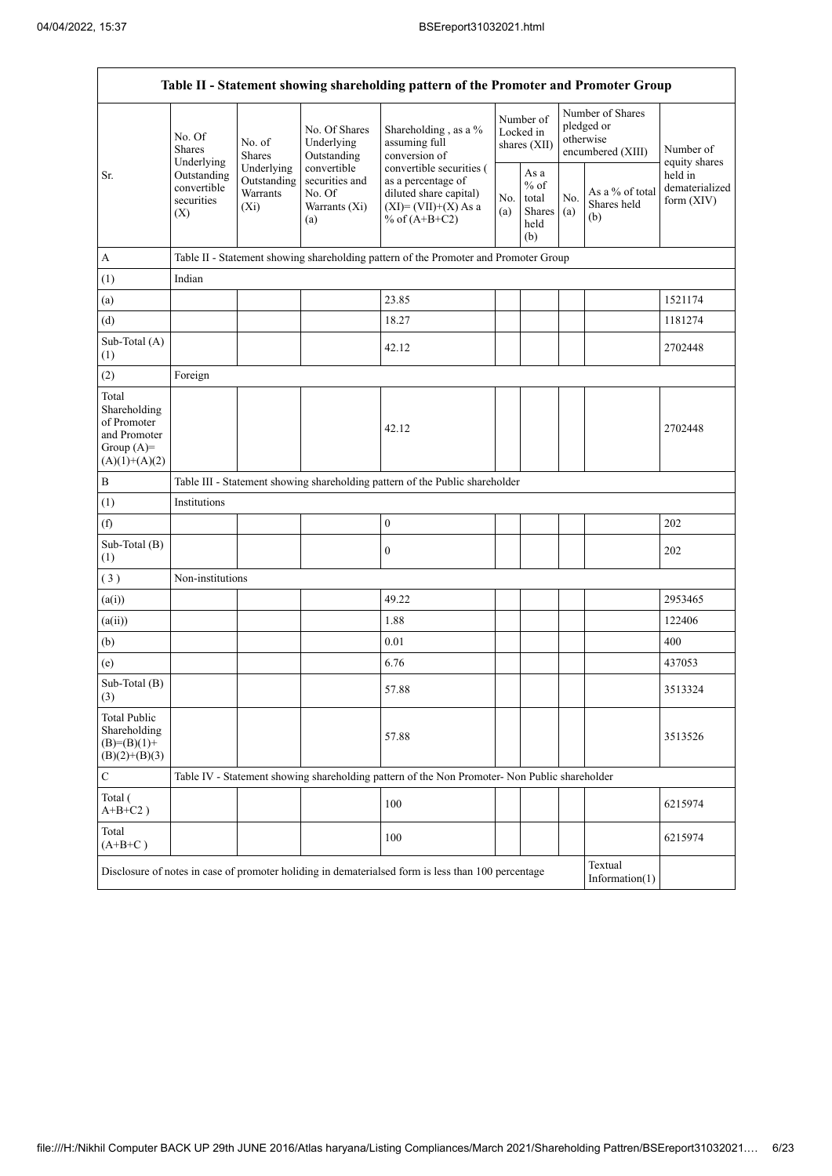$\mathbf{r}$ 

|                                                                                         |                                                                                               |                                                  |                                                                 | Table II - Statement showing shareholding pattern of the Promoter and Promoter Group                                   |                                                                |                                        |            |                                                                  |                                         |  |  |  |  |
|-----------------------------------------------------------------------------------------|-----------------------------------------------------------------------------------------------|--------------------------------------------------|-----------------------------------------------------------------|------------------------------------------------------------------------------------------------------------------------|----------------------------------------------------------------|----------------------------------------|------------|------------------------------------------------------------------|-----------------------------------------|--|--|--|--|
|                                                                                         | No. Of<br><b>Shares</b><br>Underlying                                                         | No. of<br><b>Shares</b>                          | No. Of Shares<br>Underlying<br>Outstanding                      | Shareholding, as a %<br>assuming full<br>conversion of                                                                 |                                                                | Number of<br>Locked in<br>shares (XII) |            | Number of Shares<br>pledged or<br>otherwise<br>encumbered (XIII) | Number of<br>equity shares              |  |  |  |  |
| Sr.                                                                                     | Outstanding<br>convertible<br>securities<br>(X)                                               | Underlying<br>Outstanding<br>Warrants<br>$(X_i)$ | convertible<br>securities and<br>No. Of<br>Warrants (Xi)<br>(a) | convertible securities (<br>as a percentage of<br>diluted share capital)<br>$(XI) = (VII)+(X) As a$<br>% of $(A+B+C2)$ | As a<br>$%$ of<br>No.<br>total<br>Shares<br>(a)<br>held<br>(b) |                                        | No.<br>(a) | As a % of total<br>Shares held<br>(b)                            | held in<br>dematerialized<br>form (XIV) |  |  |  |  |
| $\mathbf A$                                                                             |                                                                                               |                                                  |                                                                 | Table II - Statement showing shareholding pattern of the Promoter and Promoter Group                                   |                                                                |                                        |            |                                                                  |                                         |  |  |  |  |
| (1)                                                                                     | Indian                                                                                        |                                                  |                                                                 |                                                                                                                        |                                                                |                                        |            |                                                                  |                                         |  |  |  |  |
| (a)                                                                                     |                                                                                               |                                                  |                                                                 | 23.85                                                                                                                  |                                                                |                                        |            |                                                                  | 1521174                                 |  |  |  |  |
| (d)                                                                                     |                                                                                               |                                                  |                                                                 | 18.27                                                                                                                  |                                                                |                                        |            |                                                                  | 1181274                                 |  |  |  |  |
| Sub-Total (A)<br>(1)                                                                    |                                                                                               |                                                  |                                                                 | 42.12                                                                                                                  |                                                                |                                        |            |                                                                  | 2702448                                 |  |  |  |  |
| (2)                                                                                     | Foreign                                                                                       |                                                  |                                                                 |                                                                                                                        |                                                                |                                        |            |                                                                  |                                         |  |  |  |  |
| Total<br>Shareholding<br>of Promoter<br>and Promoter<br>Group $(A)=$<br>$(A)(1)+(A)(2)$ |                                                                                               |                                                  |                                                                 | 42.12                                                                                                                  |                                                                |                                        |            |                                                                  | 2702448                                 |  |  |  |  |
| $\, {\bf B}$                                                                            |                                                                                               |                                                  |                                                                 | Table III - Statement showing shareholding pattern of the Public shareholder                                           |                                                                |                                        |            |                                                                  |                                         |  |  |  |  |
| (1)                                                                                     | Institutions                                                                                  |                                                  |                                                                 |                                                                                                                        |                                                                |                                        |            |                                                                  |                                         |  |  |  |  |
| (f)                                                                                     |                                                                                               |                                                  |                                                                 | $\boldsymbol{0}$                                                                                                       |                                                                |                                        |            |                                                                  | 202                                     |  |  |  |  |
| Sub-Total (B)<br>(1)                                                                    |                                                                                               |                                                  |                                                                 | $\boldsymbol{0}$                                                                                                       |                                                                |                                        |            |                                                                  | 202                                     |  |  |  |  |
| (3)                                                                                     | Non-institutions                                                                              |                                                  |                                                                 |                                                                                                                        |                                                                |                                        |            |                                                                  |                                         |  |  |  |  |
| (a(i))                                                                                  |                                                                                               |                                                  |                                                                 | 49.22                                                                                                                  |                                                                |                                        |            |                                                                  | 2953465                                 |  |  |  |  |
| (a(ii))                                                                                 |                                                                                               |                                                  |                                                                 | 1.88                                                                                                                   |                                                                |                                        |            |                                                                  | 122406                                  |  |  |  |  |
| (b)                                                                                     |                                                                                               |                                                  |                                                                 | 0.01                                                                                                                   |                                                                |                                        |            |                                                                  | 400                                     |  |  |  |  |
| (e)                                                                                     |                                                                                               |                                                  |                                                                 | 6.76                                                                                                                   |                                                                |                                        |            |                                                                  | 437053                                  |  |  |  |  |
| Sub-Total (B)<br>(3)                                                                    |                                                                                               |                                                  |                                                                 | 57.88                                                                                                                  |                                                                |                                        |            |                                                                  | 3513324                                 |  |  |  |  |
| <b>Total Public</b><br>Shareholding<br>$(B)= (B)(1) +$<br>$(B)(2)+(B)(3)$               |                                                                                               |                                                  |                                                                 | 57.88                                                                                                                  |                                                                |                                        |            |                                                                  | 3513526                                 |  |  |  |  |
| ${\bf C}$                                                                               | Table IV - Statement showing shareholding pattern of the Non Promoter- Non Public shareholder |                                                  |                                                                 |                                                                                                                        |                                                                |                                        |            |                                                                  |                                         |  |  |  |  |
| Total (<br>$A+B+C2$ )                                                                   |                                                                                               |                                                  |                                                                 | 100                                                                                                                    |                                                                |                                        |            |                                                                  | 6215974                                 |  |  |  |  |
| Total<br>$(A+B+C)$                                                                      |                                                                                               |                                                  |                                                                 | 100                                                                                                                    |                                                                |                                        |            |                                                                  | 6215974                                 |  |  |  |  |
|                                                                                         |                                                                                               |                                                  |                                                                 | Disclosure of notes in case of promoter holiding in dematerialsed form is less than 100 percentage                     |                                                                |                                        |            | Textual<br>Information(1)                                        |                                         |  |  |  |  |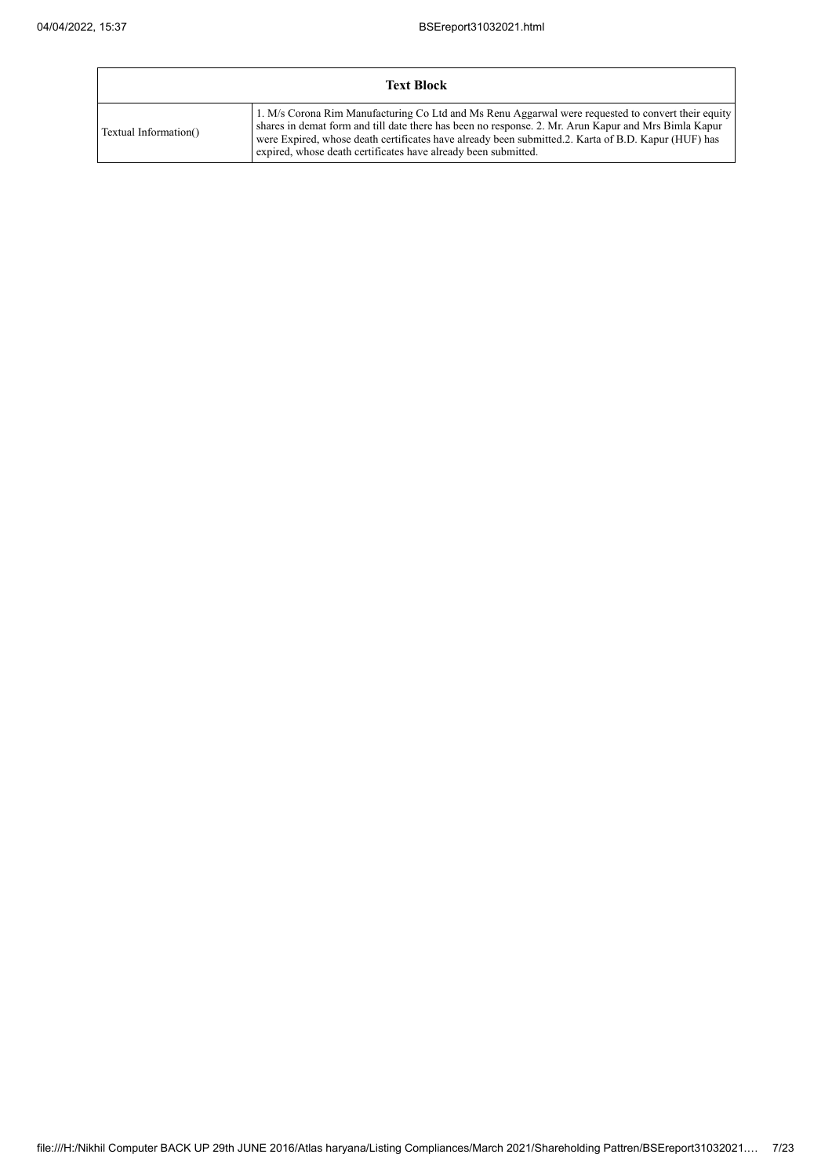$\mathbf{r}$ 

|                       | <b>Text Block</b>                                                                                                                                                                                                                                                                                                                                                                   |
|-----------------------|-------------------------------------------------------------------------------------------------------------------------------------------------------------------------------------------------------------------------------------------------------------------------------------------------------------------------------------------------------------------------------------|
| Textual Information() | 1. M/s Corona Rim Manufacturing Co Ltd and Ms Renu Aggarwal were requested to convert their equity<br>shares in demat form and till date there has been no response. 2. Mr. Arun Kapur and Mrs Bimla Kapur<br>were Expired, whose death certificates have already been submitted.2. Karta of B.D. Kapur (HUF) has<br>expired, whose death certificates have already been submitted. |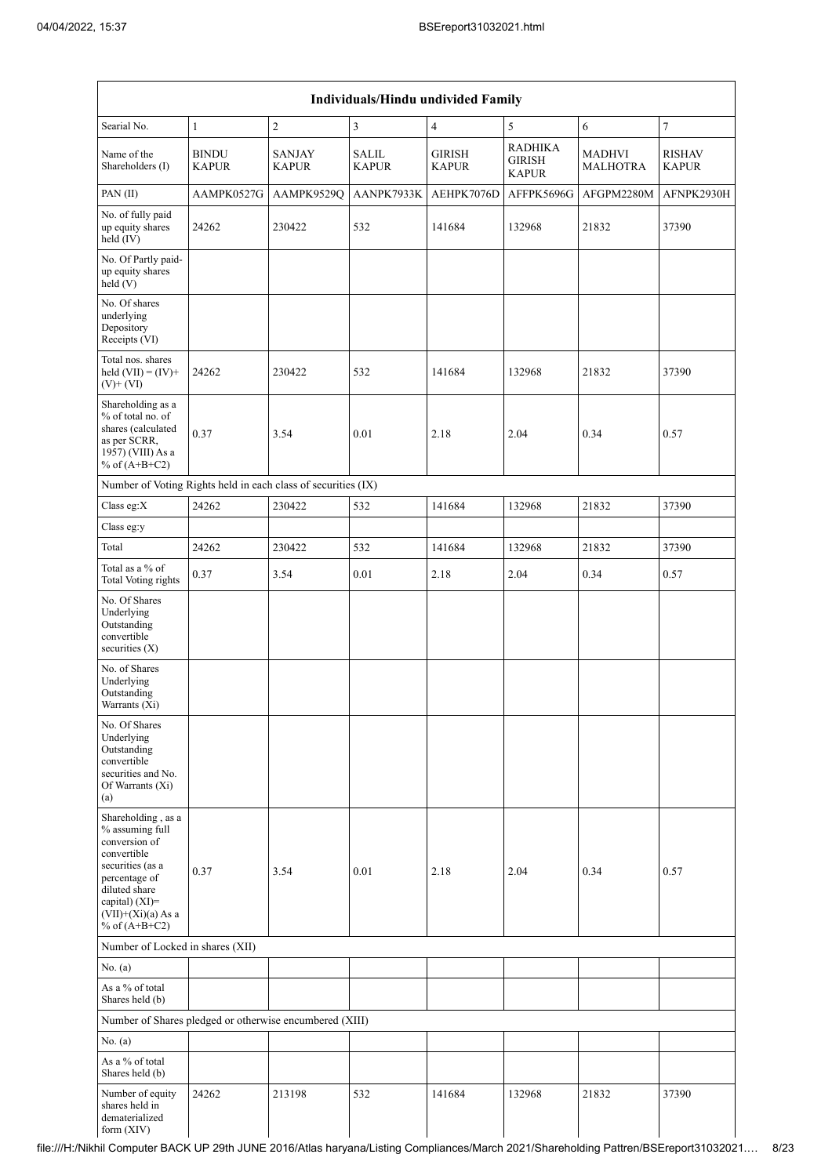| Individuals/Hindu undivided Family                                                                                                                                                       |                              |                               |                       |                               |                                                 |                                  |                               |  |  |  |  |  |
|------------------------------------------------------------------------------------------------------------------------------------------------------------------------------------------|------------------------------|-------------------------------|-----------------------|-------------------------------|-------------------------------------------------|----------------------------------|-------------------------------|--|--|--|--|--|
| Searial No.                                                                                                                                                                              | $\mathbf{1}$                 | $\sqrt{2}$                    | 3                     | $\overline{4}$                | 5                                               | 6                                | $\tau$                        |  |  |  |  |  |
| Name of the<br>Shareholders (I)                                                                                                                                                          | <b>BINDU</b><br><b>KAPUR</b> | <b>SANJAY</b><br><b>KAPUR</b> | SALIL<br><b>KAPUR</b> | <b>GIRISH</b><br><b>KAPUR</b> | <b>RADHIKA</b><br><b>GIRISH</b><br><b>KAPUR</b> | <b>MADHVI</b><br><b>MALHOTRA</b> | <b>RISHAV</b><br><b>KAPUR</b> |  |  |  |  |  |
| PAN (II)                                                                                                                                                                                 | AAMPK0527G                   | AAMPK9529Q                    | AANPK7933K            | AEHPK7076D                    | AFFPK5696G                                      | AFGPM2280M                       | AFNPK2930H                    |  |  |  |  |  |
| No. of fully paid<br>up equity shares<br>held (IV)                                                                                                                                       | 24262                        | 230422                        | 532                   | 141684                        | 132968                                          | 21832                            | 37390                         |  |  |  |  |  |
| No. Of Partly paid-<br>up equity shares<br>held(V)                                                                                                                                       |                              |                               |                       |                               |                                                 |                                  |                               |  |  |  |  |  |
| No. Of shares<br>underlying<br>Depository<br>Receipts (VI)                                                                                                                               |                              |                               |                       |                               |                                                 |                                  |                               |  |  |  |  |  |
| Total nos. shares<br>held $(VII) = (IV) +$<br>$(V)$ + $(VI)$                                                                                                                             | 24262                        | 230422                        | 532                   | 141684                        | 132968                                          | 21832                            | 37390                         |  |  |  |  |  |
| Shareholding as a<br>% of total no. of<br>shares (calculated<br>as per SCRR,<br>1957) (VIII) As a<br>% of $(A+B+C2)$                                                                     | 0.37                         | 3.54                          | 0.01                  | 2.18                          | 2.04                                            | 0.34                             | 0.57                          |  |  |  |  |  |
| Number of Voting Rights held in each class of securities (IX)                                                                                                                            |                              |                               |                       |                               |                                                 |                                  |                               |  |  |  |  |  |
| Class eg:X                                                                                                                                                                               | 24262                        | 230422                        | 532                   | 141684                        | 132968                                          | 21832                            | 37390                         |  |  |  |  |  |
| Class eg:y                                                                                                                                                                               |                              |                               |                       |                               |                                                 |                                  |                               |  |  |  |  |  |
| Total                                                                                                                                                                                    | 24262                        | 230422                        | 532                   | 141684                        | 132968                                          | 21832                            | 37390                         |  |  |  |  |  |
| Total as a % of<br><b>Total Voting rights</b>                                                                                                                                            | 0.37                         | 3.54                          | 0.01                  | 2.18                          | 2.04                                            | 0.34                             | 0.57                          |  |  |  |  |  |
| No. Of Shares<br>Underlying<br>Outstanding<br>convertible<br>securities (X)                                                                                                              |                              |                               |                       |                               |                                                 |                                  |                               |  |  |  |  |  |
| No. of Shares<br>Underlying<br>Outstanding<br>Warrants (Xi)                                                                                                                              |                              |                               |                       |                               |                                                 |                                  |                               |  |  |  |  |  |
| No. Of Shares<br>Underlying<br>Outstanding<br>convertible<br>securities and No.<br>Of Warrants (Xi)<br>(a)                                                                               |                              |                               |                       |                               |                                                 |                                  |                               |  |  |  |  |  |
| Shareholding, as a<br>% assuming full<br>conversion of<br>convertible<br>securities (as a<br>percentage of<br>diluted share<br>capital) (XI)=<br>$(VII)+(Xi)(a)$ As a<br>% of $(A+B+C2)$ | 0.37                         | 3.54                          | 0.01                  | 2.18                          | 2.04                                            | 0.34                             | 0.57                          |  |  |  |  |  |
| Number of Locked in shares (XII)                                                                                                                                                         |                              |                               |                       |                               |                                                 |                                  |                               |  |  |  |  |  |
| No. (a)                                                                                                                                                                                  |                              |                               |                       |                               |                                                 |                                  |                               |  |  |  |  |  |
| As a % of total<br>Shares held (b)                                                                                                                                                       |                              |                               |                       |                               |                                                 |                                  |                               |  |  |  |  |  |
| Number of Shares pledged or otherwise encumbered (XIII)                                                                                                                                  |                              |                               |                       |                               |                                                 |                                  |                               |  |  |  |  |  |
| No. (a)                                                                                                                                                                                  |                              |                               |                       |                               |                                                 |                                  |                               |  |  |  |  |  |
| As a % of total<br>Shares held (b)                                                                                                                                                       |                              |                               |                       |                               |                                                 |                                  |                               |  |  |  |  |  |
| Number of equity<br>shares held in<br>dematerialized<br>form (XIV)                                                                                                                       | 24262                        | 213198                        | 532                   | 141684                        | 132968                                          | 21832                            | 37390                         |  |  |  |  |  |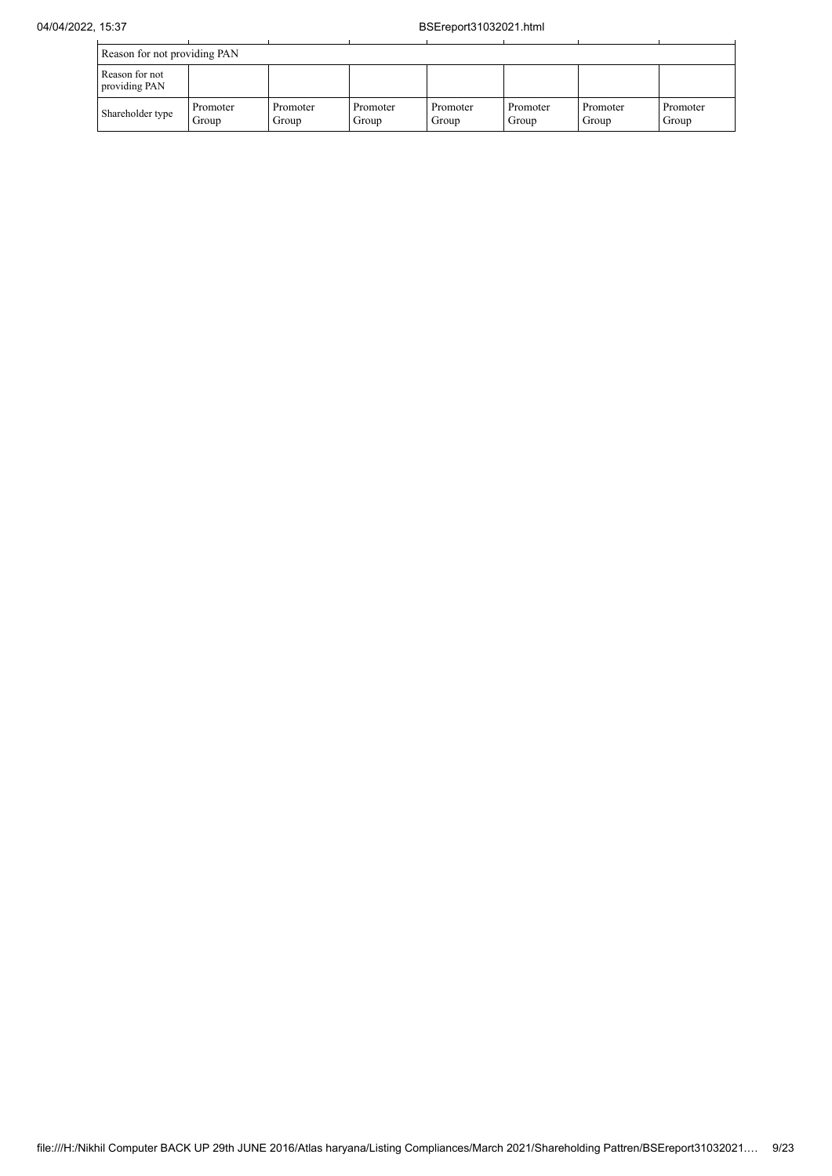| Reason for not providing PAN    |                   |                   |                   |                   |                   |                   |                   |  |  |  |  |
|---------------------------------|-------------------|-------------------|-------------------|-------------------|-------------------|-------------------|-------------------|--|--|--|--|
| Reason for not<br>providing PAN |                   |                   |                   |                   |                   |                   |                   |  |  |  |  |
| Shareholder type                | Promoter<br>Group | Promoter<br>Group | Promoter<br>Group | Promoter<br>Group | Promoter<br>Group | Promoter<br>Group | Promoter<br>Group |  |  |  |  |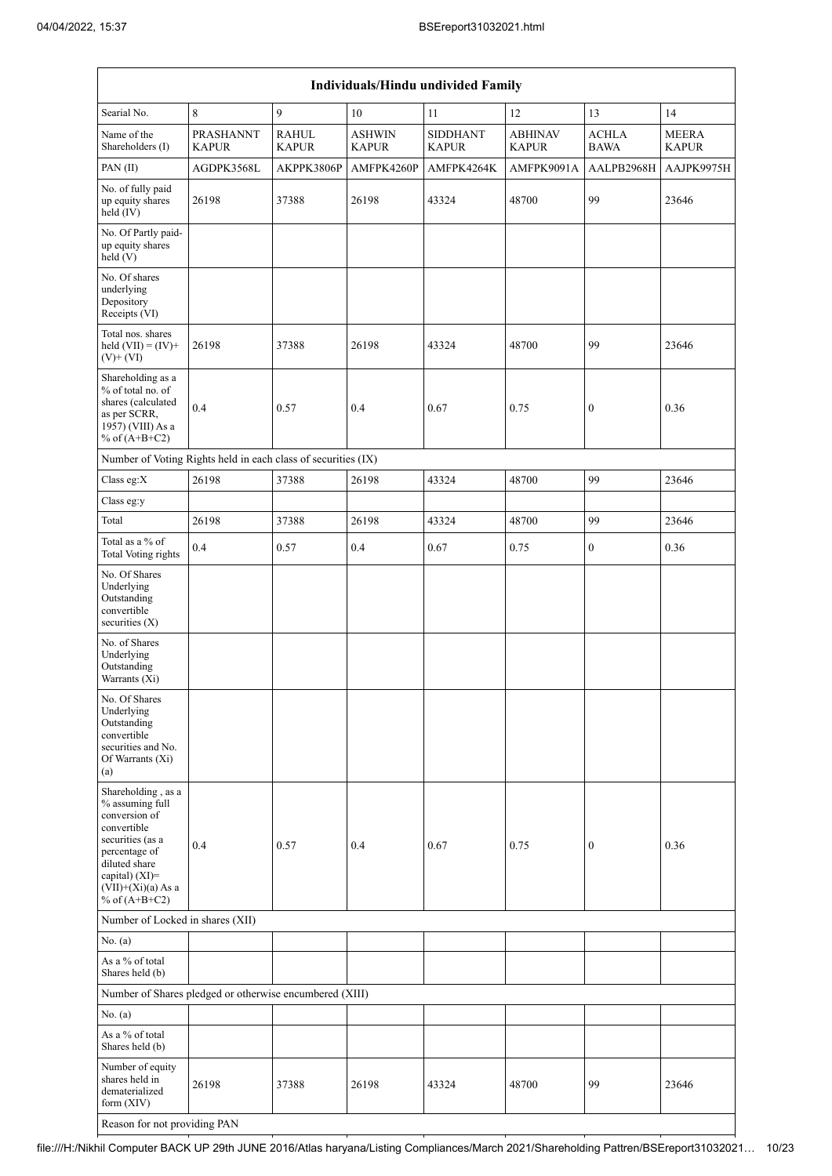| <b>Individuals/Hindu undivided Family</b>                                                                                                                                                   |                                  |                              |                               |                                 |                                |                             |                              |  |  |  |  |  |
|---------------------------------------------------------------------------------------------------------------------------------------------------------------------------------------------|----------------------------------|------------------------------|-------------------------------|---------------------------------|--------------------------------|-----------------------------|------------------------------|--|--|--|--|--|
| Searial No.                                                                                                                                                                                 | 8                                | 9                            | 10                            | 11                              | 12                             | 13                          | 14                           |  |  |  |  |  |
| Name of the<br>Shareholders (I)                                                                                                                                                             | <b>PRASHANNT</b><br><b>KAPUR</b> | <b>RAHUL</b><br><b>KAPUR</b> | <b>ASHWIN</b><br><b>KAPUR</b> | <b>SIDDHANT</b><br><b>KAPUR</b> | <b>ABHINAV</b><br><b>KAPUR</b> | <b>ACHLA</b><br><b>BAWA</b> | <b>MEERA</b><br><b>KAPUR</b> |  |  |  |  |  |
| PAN(II)                                                                                                                                                                                     | AGDPK3568L                       | AKPPK3806P                   | AMFPK4260P                    | AMFPK4264K                      | AMFPK9091A                     | AALPB2968H                  | AAJPK9975H                   |  |  |  |  |  |
| No. of fully paid<br>up equity shares<br>held $(IV)$                                                                                                                                        | 26198                            | 37388                        | 26198                         | 43324                           | 48700                          | 99                          | 23646                        |  |  |  |  |  |
| No. Of Partly paid-<br>up equity shares<br>held(V)                                                                                                                                          |                                  |                              |                               |                                 |                                |                             |                              |  |  |  |  |  |
| No. Of shares<br>underlying<br>Depository<br>Receipts (VI)                                                                                                                                  |                                  |                              |                               |                                 |                                |                             |                              |  |  |  |  |  |
| Total nos. shares<br>held $(VII) = (IV) +$<br>$(V)$ + $(VI)$                                                                                                                                | 26198                            | 37388                        | 26198                         | 43324                           | 48700                          | 99                          | 23646                        |  |  |  |  |  |
| Shareholding as a<br>% of total no. of<br>shares (calculated<br>as per SCRR,<br>1957) (VIII) As a<br>% of $(A+B+C2)$                                                                        | 0.4                              | 0.57                         | 0.4                           | 0.67                            | 0.75                           | $\mathbf{0}$                | 0.36                         |  |  |  |  |  |
| Number of Voting Rights held in each class of securities (IX)                                                                                                                               |                                  |                              |                               |                                 |                                |                             |                              |  |  |  |  |  |
| Class eg: $X$                                                                                                                                                                               | 26198                            | 37388                        | 26198                         | 43324                           | 48700                          | 99                          | 23646                        |  |  |  |  |  |
| Class eg:y                                                                                                                                                                                  |                                  |                              |                               |                                 |                                |                             |                              |  |  |  |  |  |
| Total                                                                                                                                                                                       | 26198                            | 37388                        | 26198                         | 43324                           | 48700                          | 99                          | 23646                        |  |  |  |  |  |
| Total as a % of<br><b>Total Voting rights</b>                                                                                                                                               | 0.4                              | 0.57                         | 0.4                           | 0.67                            | 0.75                           | $\mathbf{0}$                | 0.36                         |  |  |  |  |  |
| No. Of Shares<br>Underlying<br>Outstanding<br>convertible<br>securities $(X)$                                                                                                               |                                  |                              |                               |                                 |                                |                             |                              |  |  |  |  |  |
| No. of Shares<br>Underlying<br>Outstanding<br>Warrants (Xi)                                                                                                                                 |                                  |                              |                               |                                 |                                |                             |                              |  |  |  |  |  |
| No. Of Shares<br>Underlying<br>Outstanding<br>convertible<br>securities and No.<br>Of Warrants (Xi)<br>(a)                                                                                  |                                  |                              |                               |                                 |                                |                             |                              |  |  |  |  |  |
| Shareholding, as a<br>% assuming full<br>conversion of<br>convertible<br>securities (as a<br>percentage of<br>diluted share<br>capital) $(XI)$ =<br>$(VII)+(Xi)(a)$ As a<br>% of $(A+B+C2)$ | 0.4                              | 0.57                         | 0.4                           | 0.67                            | 0.75                           | $\boldsymbol{0}$            | 0.36                         |  |  |  |  |  |
| Number of Locked in shares (XII)                                                                                                                                                            |                                  |                              |                               |                                 |                                |                             |                              |  |  |  |  |  |
| No. (a)                                                                                                                                                                                     |                                  |                              |                               |                                 |                                |                             |                              |  |  |  |  |  |
| As a % of total<br>Shares held (b)                                                                                                                                                          |                                  |                              |                               |                                 |                                |                             |                              |  |  |  |  |  |
| Number of Shares pledged or otherwise encumbered (XIII)                                                                                                                                     |                                  |                              |                               |                                 |                                |                             |                              |  |  |  |  |  |
| No. (a)                                                                                                                                                                                     |                                  |                              |                               |                                 |                                |                             |                              |  |  |  |  |  |
| As a % of total<br>Shares held (b)                                                                                                                                                          |                                  |                              |                               |                                 |                                |                             |                              |  |  |  |  |  |
| Number of equity<br>shares held in<br>dematerialized<br>form $(XIV)$                                                                                                                        | 26198                            | 37388                        | 26198                         | 43324                           | 48700                          | 99                          | 23646                        |  |  |  |  |  |
| Reason for not providing PAN                                                                                                                                                                |                                  |                              |                               |                                 |                                |                             |                              |  |  |  |  |  |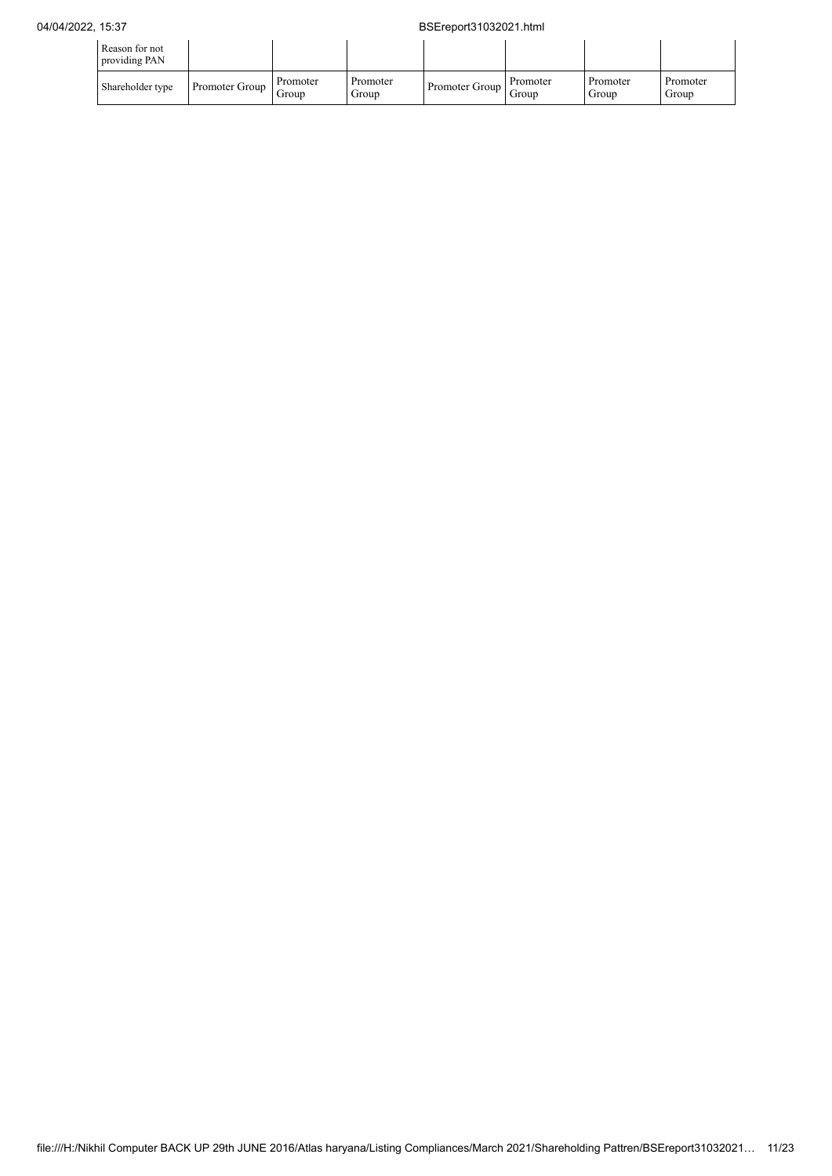## 04/04/2022, 15:37 BSEreport31032021.html

| Reason for not<br>providing PAN |                |                   |                   |                |                   |                   |                   |
|---------------------------------|----------------|-------------------|-------------------|----------------|-------------------|-------------------|-------------------|
| Shareholder type                | Promoter Group | Promoter<br>Group | Promoter<br>Group | Promoter Group | Promoter<br>Group | Promoter<br>Group | Promoter<br>Group |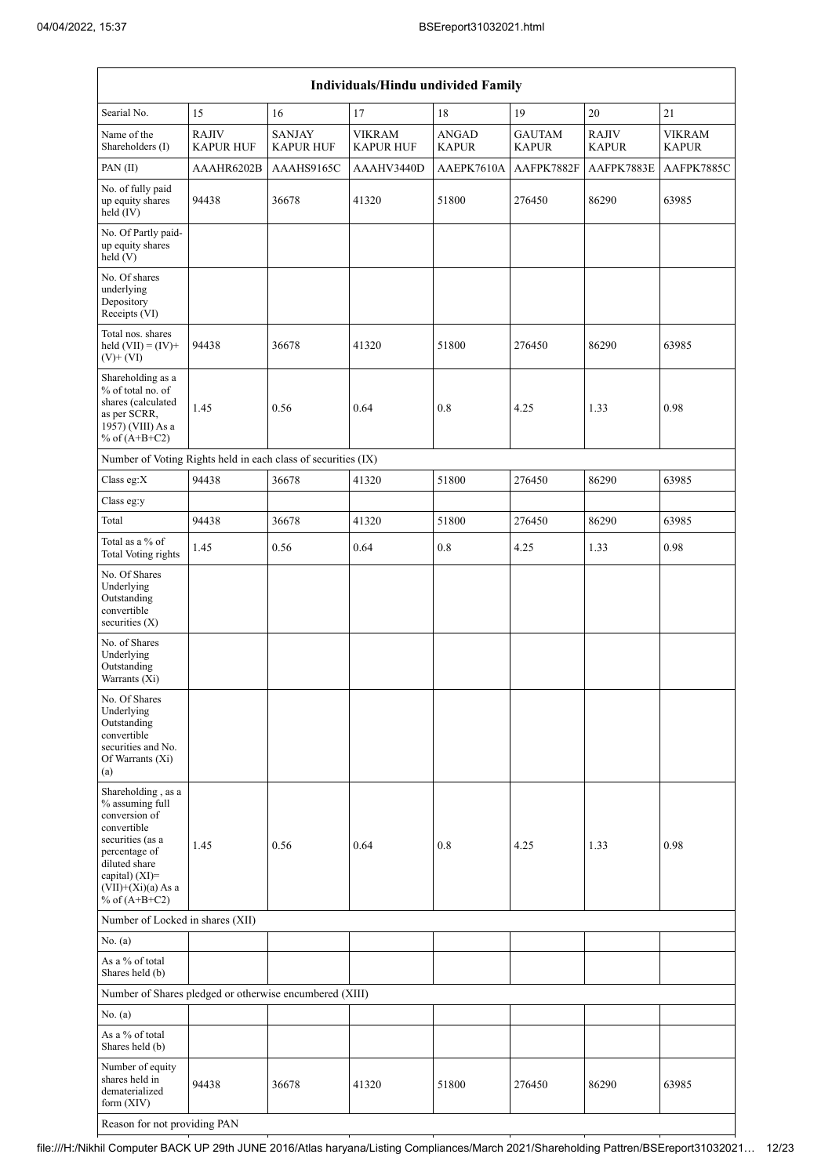| Individuals/Hindu undivided Family                                                                                                                                                       |                                  |                                   |                                   |                              |                               |                       |                               |  |  |  |  |  |
|------------------------------------------------------------------------------------------------------------------------------------------------------------------------------------------|----------------------------------|-----------------------------------|-----------------------------------|------------------------------|-------------------------------|-----------------------|-------------------------------|--|--|--|--|--|
| Searial No.                                                                                                                                                                              | 15                               | 16                                | 17                                | 18                           | 19                            | 20                    | 21                            |  |  |  |  |  |
| Name of the<br>Shareholders (I)                                                                                                                                                          | <b>RAJIV</b><br><b>KAPUR HUF</b> | <b>SANJAY</b><br><b>KAPUR HUF</b> | <b>VIKRAM</b><br><b>KAPUR HUF</b> | <b>ANGAD</b><br><b>KAPUR</b> | <b>GAUTAM</b><br><b>KAPUR</b> | RAJIV<br><b>KAPUR</b> | <b>VIKRAM</b><br><b>KAPUR</b> |  |  |  |  |  |
| PAN(II)                                                                                                                                                                                  | AAAHR6202B                       | AAAHS9165C                        | AAAHV3440D                        | AAEPK7610A                   | AAFPK7882F                    | AAFPK7883E            | AAFPK7885C                    |  |  |  |  |  |
| No. of fully paid<br>up equity shares<br>held (IV)                                                                                                                                       | 94438                            | 36678                             | 41320                             | 51800                        | 276450                        | 86290                 | 63985                         |  |  |  |  |  |
| No. Of Partly paid-<br>up equity shares<br>held $(V)$                                                                                                                                    |                                  |                                   |                                   |                              |                               |                       |                               |  |  |  |  |  |
| No. Of shares<br>underlying<br>Depository<br>Receipts (VI)                                                                                                                               |                                  |                                   |                                   |                              |                               |                       |                               |  |  |  |  |  |
| Total nos. shares<br>held $(VII) = (IV) +$<br>$(V)$ + $(VI)$                                                                                                                             | 94438                            | 36678                             | 41320                             | 51800                        | 276450                        | 86290                 | 63985                         |  |  |  |  |  |
| Shareholding as a<br>% of total no. of<br>shares (calculated<br>as per SCRR,<br>1957) (VIII) As a<br>% of $(A+B+C2)$                                                                     | 1.45                             | 0.56                              | 0.64                              | 0.8                          | 4.25                          | 1.33                  | 0.98                          |  |  |  |  |  |
| Number of Voting Rights held in each class of securities (IX)                                                                                                                            |                                  |                                   |                                   |                              |                               |                       |                               |  |  |  |  |  |
| Class eg:X                                                                                                                                                                               | 94438                            | 36678                             | 41320                             | 51800                        | 276450                        | 86290                 | 63985                         |  |  |  |  |  |
| Class eg:y                                                                                                                                                                               |                                  |                                   |                                   |                              |                               |                       |                               |  |  |  |  |  |
| Total                                                                                                                                                                                    | 94438                            | 36678                             | 41320                             | 51800                        | 276450                        | 86290                 | 63985                         |  |  |  |  |  |
| Total as a % of<br><b>Total Voting rights</b>                                                                                                                                            | 1.45                             | 0.56                              | 0.64                              | 0.8                          | 4.25                          | 1.33                  | 0.98                          |  |  |  |  |  |
| No. Of Shares<br>Underlying<br>Outstanding<br>convertible<br>securities $(X)$                                                                                                            |                                  |                                   |                                   |                              |                               |                       |                               |  |  |  |  |  |
| No. of Shares<br>Underlying<br>Outstanding<br>Warrants (Xi)                                                                                                                              |                                  |                                   |                                   |                              |                               |                       |                               |  |  |  |  |  |
| No. Of Shares<br>Underlying<br>Outstanding<br>convertible<br>securities and No.<br>Of Warrants (Xi)<br>(a)                                                                               |                                  |                                   |                                   |                              |                               |                       |                               |  |  |  |  |  |
| Shareholding, as a<br>% assuming full<br>conversion of<br>convertible<br>securities (as a<br>percentage of<br>diluted share<br>capital) (XI)=<br>$(VII)+(Xi)(a)$ As a<br>% of $(A+B+C2)$ | 1.45                             | 0.56                              | 0.64                              | 0.8                          | 4.25                          | 1.33                  | 0.98                          |  |  |  |  |  |
| Number of Locked in shares (XII)                                                                                                                                                         |                                  |                                   |                                   |                              |                               |                       |                               |  |  |  |  |  |
| No. (a)                                                                                                                                                                                  |                                  |                                   |                                   |                              |                               |                       |                               |  |  |  |  |  |
| As a % of total<br>Shares held (b)                                                                                                                                                       |                                  |                                   |                                   |                              |                               |                       |                               |  |  |  |  |  |
| Number of Shares pledged or otherwise encumbered (XIII)                                                                                                                                  |                                  |                                   |                                   |                              |                               |                       |                               |  |  |  |  |  |
| No. (a)                                                                                                                                                                                  |                                  |                                   |                                   |                              |                               |                       |                               |  |  |  |  |  |
| As a % of total<br>Shares held (b)                                                                                                                                                       |                                  |                                   |                                   |                              |                               |                       |                               |  |  |  |  |  |
| Number of equity<br>shares held in<br>dematerialized<br>form (XIV)                                                                                                                       | 94438                            | 36678                             | 41320                             | 51800                        | 276450                        | 86290                 | 63985                         |  |  |  |  |  |
| Reason for not providing PAN                                                                                                                                                             |                                  |                                   |                                   |                              |                               |                       |                               |  |  |  |  |  |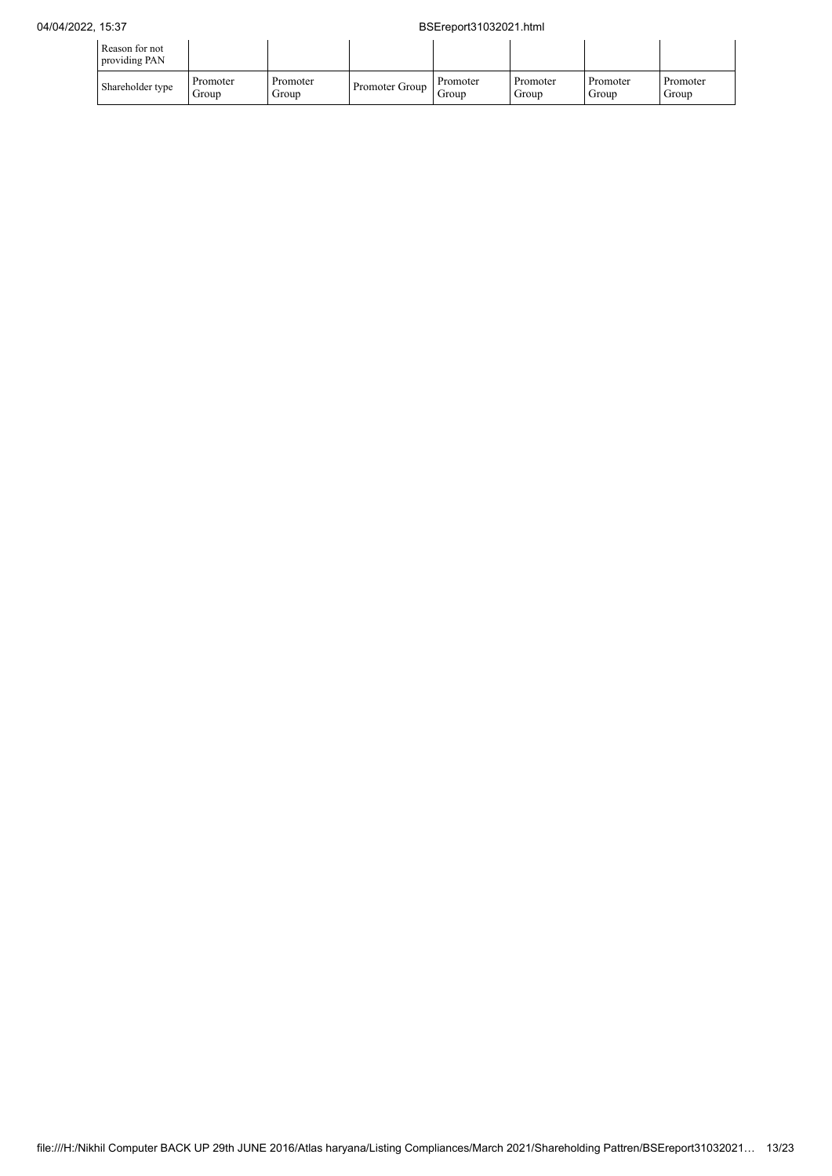## 04/04/2022, 15:37 BSEreport31032021.html

| Reason for not<br>providing PAN |                   |                   |                |                   |                   |                   |                   |
|---------------------------------|-------------------|-------------------|----------------|-------------------|-------------------|-------------------|-------------------|
| Shareholder type                | Promoter<br>Group | Promoter<br>Group | Promoter Group | Promoter<br>Group | Promoter<br>Group | Promoter<br>Group | Promoter<br>Group |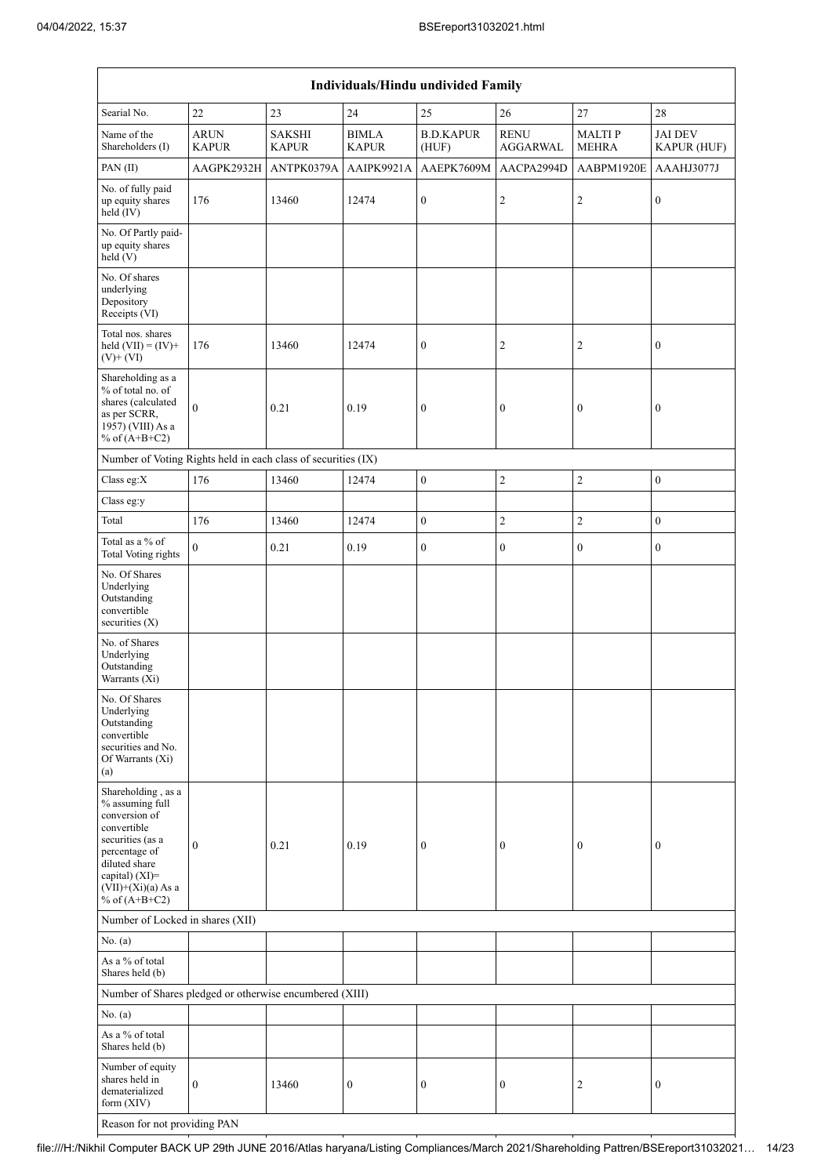| Individuals/Hindu undivided Family                                                                                                                                    |                             |                               |                              |                           |                                |                               |                               |  |
|-----------------------------------------------------------------------------------------------------------------------------------------------------------------------|-----------------------------|-------------------------------|------------------------------|---------------------------|--------------------------------|-------------------------------|-------------------------------|--|
| Searial No.                                                                                                                                                           | 22                          | 23                            | $24\,$                       | 25                        | 26                             | $27\,$                        | 28                            |  |
| Name of the<br>Shareholders (I)                                                                                                                                       | <b>ARUN</b><br><b>KAPUR</b> | <b>SAKSHI</b><br><b>KAPUR</b> | <b>BIMLA</b><br><b>KAPUR</b> | <b>B.D.KAPUR</b><br>(HUF) | <b>RENU</b><br><b>AGGARWAL</b> | <b>MALTIP</b><br><b>MEHRA</b> | <b>JAI DEV</b><br>KAPUR (HUF) |  |
| PAN(II)                                                                                                                                                               | AAGPK2932H                  | ANTPK0379A                    | AAIPK9921A                   | AAEPK7609M                | AACPA2994D                     | AABPM1920E                    | AAAHJ3077J                    |  |
| No. of fully paid<br>up equity shares<br>held (IV)                                                                                                                    | 176                         | 13460                         | 12474                        | $\boldsymbol{0}$          | $\mathfrak{2}$                 | $\sqrt{2}$                    | $\boldsymbol{0}$              |  |
| No. Of Partly paid-<br>up equity shares<br>held $(V)$                                                                                                                 |                             |                               |                              |                           |                                |                               |                               |  |
| No. Of shares<br>underlying<br>Depository<br>Receipts (VI)                                                                                                            |                             |                               |                              |                           |                                |                               |                               |  |
| Total nos. shares<br>held $(VII) = (IV) +$<br>$(V)$ + $(VI)$                                                                                                          | 176                         | 13460                         | 12474                        | $\mathbf{0}$              | $\overline{c}$                 | 2                             | $\boldsymbol{0}$              |  |
| Shareholding as a<br>% of total no. of<br>shares (calculated<br>as per SCRR,<br>1957) (VIII) As a<br>% of $(A+B+C2)$                                                  | $\mathbf{0}$                | 0.21                          | 0.19                         | $\boldsymbol{0}$          | $\boldsymbol{0}$               | $\boldsymbol{0}$              | $\boldsymbol{0}$              |  |
| Number of Voting Rights held in each class of securities (IX)                                                                                                         |                             |                               |                              |                           |                                |                               |                               |  |
| Class eg:X                                                                                                                                                            | 176                         | 13460                         | 12474                        | $\mathbf{0}$              | $\overline{2}$                 | $\overline{c}$                | $\boldsymbol{0}$              |  |
| Class eg:y                                                                                                                                                            |                             |                               |                              |                           |                                |                               |                               |  |
| Total                                                                                                                                                                 | 176                         | 13460                         | 12474                        | $\boldsymbol{0}$          | $\overline{2}$                 | $\overline{c}$                | $\mathbf{0}$                  |  |
| Total as a % of<br><b>Total Voting rights</b>                                                                                                                         | $\theta$                    | 0.21                          | 0.19                         | $\boldsymbol{0}$          | $\boldsymbol{0}$               | $\boldsymbol{0}$              | $\boldsymbol{0}$              |  |
| No. Of Shares<br>Underlying<br>Outstanding<br>convertible<br>securities (X)                                                                                           |                             |                               |                              |                           |                                |                               |                               |  |
| No. of Shares<br>Underlying<br>Outstanding<br>Warrants (Xi)                                                                                                           |                             |                               |                              |                           |                                |                               |                               |  |
| No. Of Shares<br>Underlying<br>Outstanding<br>convertible<br>securities and No.<br>Of Warrants (Xi)<br>(a)                                                            |                             |                               |                              |                           |                                |                               |                               |  |
| Shareholding, as a<br>% assuming full<br>conversion of<br>convertible<br>securities (as a<br>percentage of<br>diluted share<br>capital) (XI)=<br>$(VII)+(Xi)(a)$ As a | $\boldsymbol{0}$            | 0.21                          | 0.19                         | $\boldsymbol{0}$          | $\boldsymbol{0}$               | $\boldsymbol{0}$              | $\boldsymbol{0}$              |  |
| % of $(A+B+C2)$                                                                                                                                                       |                             |                               |                              |                           |                                |                               |                               |  |
| Number of Locked in shares (XII)                                                                                                                                      |                             |                               |                              |                           |                                |                               |                               |  |
| No. (a)<br>As a % of total<br>Shares held (b)                                                                                                                         |                             |                               |                              |                           |                                |                               |                               |  |
| Number of Shares pledged or otherwise encumbered (XIII)                                                                                                               |                             |                               |                              |                           |                                |                               |                               |  |
| No. (a)                                                                                                                                                               |                             |                               |                              |                           |                                |                               |                               |  |
| As a % of total<br>Shares held (b)                                                                                                                                    |                             |                               |                              |                           |                                |                               |                               |  |
| Number of equity<br>shares held in<br>dematerialized<br>form $(XIV)$                                                                                                  | $\mathbf{0}$                | 13460                         | $\boldsymbol{0}$             | $\boldsymbol{0}$          | $\boldsymbol{0}$               | $\overline{c}$                | $\boldsymbol{0}$              |  |
| Reason for not providing PAN                                                                                                                                          |                             |                               |                              |                           |                                |                               |                               |  |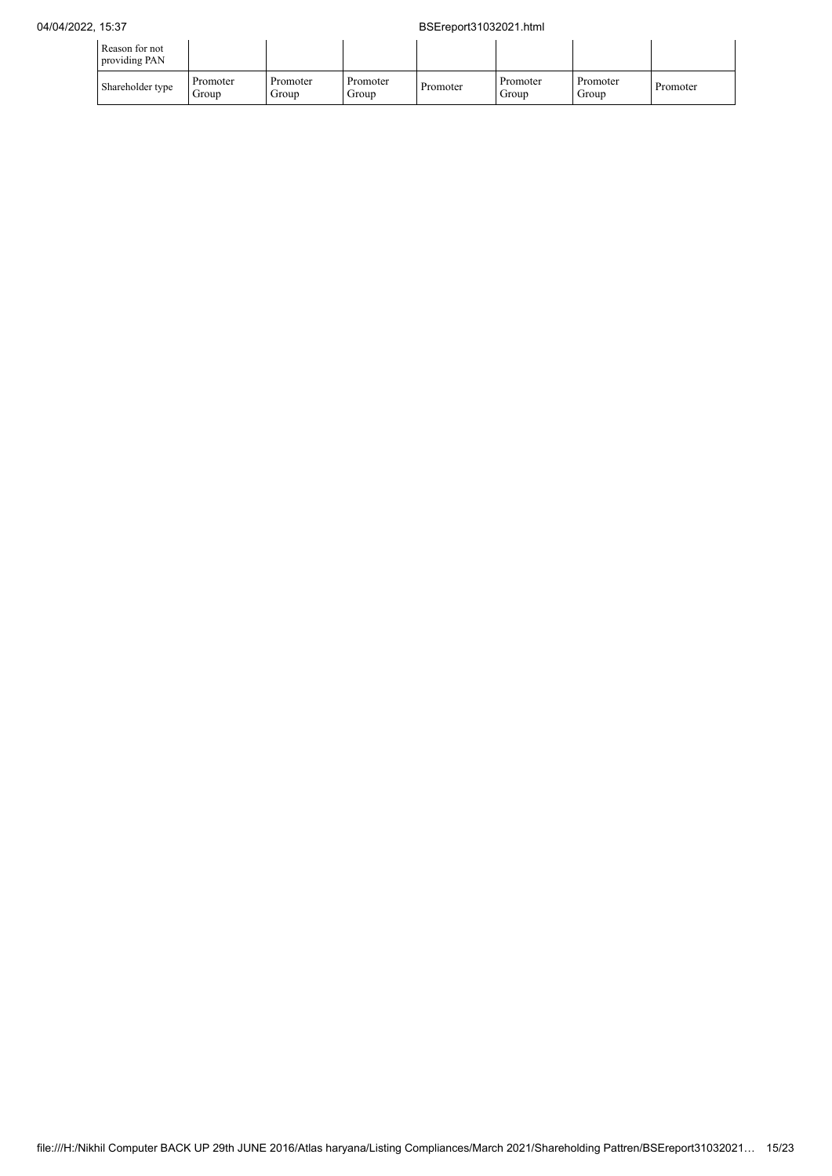| Reason for not<br>providing PAN |                   |                   |                   |          |                   |                   |          |
|---------------------------------|-------------------|-------------------|-------------------|----------|-------------------|-------------------|----------|
| Shareholder type                | Promoter<br>Group | Promoter<br>Group | Promoter<br>Group | Promoter | Promoter<br>Group | Promoter<br>Group | Promoter |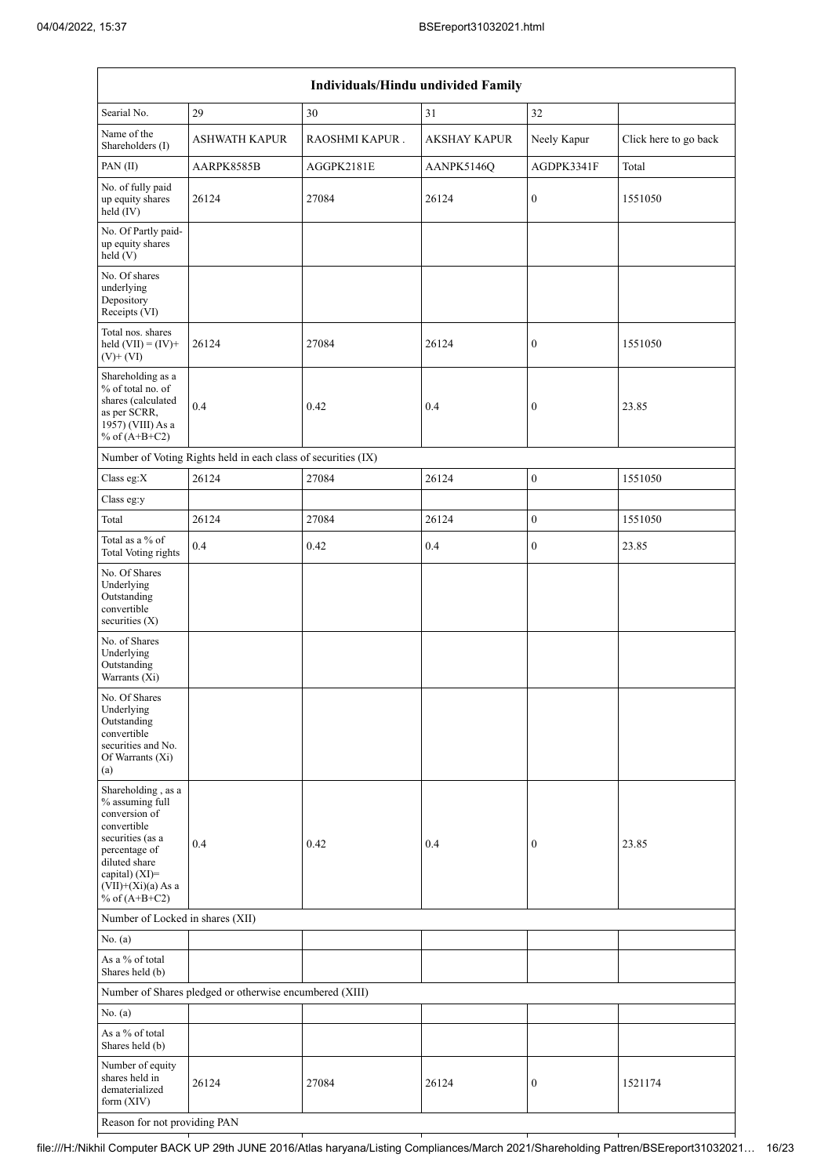| Individuals/Hindu undivided Family                                                                                                                                                       |                                                               |                |                     |                  |                       |  |  |  |  |
|------------------------------------------------------------------------------------------------------------------------------------------------------------------------------------------|---------------------------------------------------------------|----------------|---------------------|------------------|-----------------------|--|--|--|--|
| Searial No.                                                                                                                                                                              | 29                                                            | 30             | 31                  | 32               |                       |  |  |  |  |
| Name of the<br>Shareholders (I)                                                                                                                                                          | <b>ASHWATH KAPUR</b>                                          | RAOSHMI KAPUR. | <b>AKSHAY KAPUR</b> | Neely Kapur      | Click here to go back |  |  |  |  |
| PAN(II)                                                                                                                                                                                  | AARPK8585B                                                    | AGGPK2181E     | AANPK5146Q          | AGDPK3341F       | Total                 |  |  |  |  |
| No. of fully paid<br>up equity shares<br>held (IV)                                                                                                                                       | 26124                                                         | 27084          | 26124               | 0                | 1551050               |  |  |  |  |
| No. Of Partly paid-<br>up equity shares<br>held(V)                                                                                                                                       |                                                               |                |                     |                  |                       |  |  |  |  |
| No. Of shares<br>underlying<br>Depository<br>Receipts (VI)                                                                                                                               |                                                               |                |                     |                  |                       |  |  |  |  |
| Total nos. shares<br>held $(VII) = (IV) +$<br>$(V)$ + $(VI)$                                                                                                                             | 26124                                                         | 27084          | 26124               | $\boldsymbol{0}$ | 1551050               |  |  |  |  |
| Shareholding as a<br>% of total no. of<br>shares (calculated<br>as per SCRR,<br>1957) (VIII) As a<br>% of $(A+B+C2)$                                                                     | 0.4                                                           | 0.42           | 0.4                 | 0                | 23.85                 |  |  |  |  |
|                                                                                                                                                                                          | Number of Voting Rights held in each class of securities (IX) |                |                     |                  |                       |  |  |  |  |
| Class eg:X                                                                                                                                                                               | 26124                                                         | 27084          | 26124               | $\boldsymbol{0}$ | 1551050               |  |  |  |  |
| Class eg:y                                                                                                                                                                               |                                                               |                |                     |                  |                       |  |  |  |  |
| Total                                                                                                                                                                                    | 26124                                                         | 27084          | 26124               | $\overline{0}$   | 1551050               |  |  |  |  |
| Total as a % of<br><b>Total Voting rights</b>                                                                                                                                            | 0.4                                                           | 0.42           | 0.4                 | 0                | 23.85                 |  |  |  |  |
| No. Of Shares<br>Underlying<br>Outstanding<br>convertible<br>securities $(X)$                                                                                                            |                                                               |                |                     |                  |                       |  |  |  |  |
| No. of Shares<br>Underlying<br>Outstanding<br>Warrants (Xi)                                                                                                                              |                                                               |                |                     |                  |                       |  |  |  |  |
| No. Of Shares<br>Underlying<br>Outstanding<br>convertible<br>securities and No.<br>Of Warrants (Xi)<br>(a)                                                                               |                                                               |                |                     |                  |                       |  |  |  |  |
| Shareholding, as a<br>% assuming full<br>conversion of<br>convertible<br>securities (as a<br>percentage of<br>diluted share<br>capital) (XI)=<br>$(VII)+(Xi)(a)$ As a<br>% of $(A+B+C2)$ | 0.4                                                           | 0.42           | 0.4                 | 0                | 23.85                 |  |  |  |  |
|                                                                                                                                                                                          | Number of Locked in shares (XII)                              |                |                     |                  |                       |  |  |  |  |
| No. (a)                                                                                                                                                                                  |                                                               |                |                     |                  |                       |  |  |  |  |
| As a % of total<br>Shares held (b)                                                                                                                                                       |                                                               |                |                     |                  |                       |  |  |  |  |
|                                                                                                                                                                                          | Number of Shares pledged or otherwise encumbered (XIII)       |                |                     |                  |                       |  |  |  |  |
| No. (a)                                                                                                                                                                                  |                                                               |                |                     |                  |                       |  |  |  |  |
| As a $\%$ of total<br>Shares held (b)                                                                                                                                                    |                                                               |                |                     |                  |                       |  |  |  |  |
| Number of equity<br>shares held in<br>dematerialized<br>form (XIV)                                                                                                                       | 26124                                                         | 27084          | 26124               | 0                | 1521174               |  |  |  |  |
| Reason for not providing PAN                                                                                                                                                             |                                                               |                |                     |                  |                       |  |  |  |  |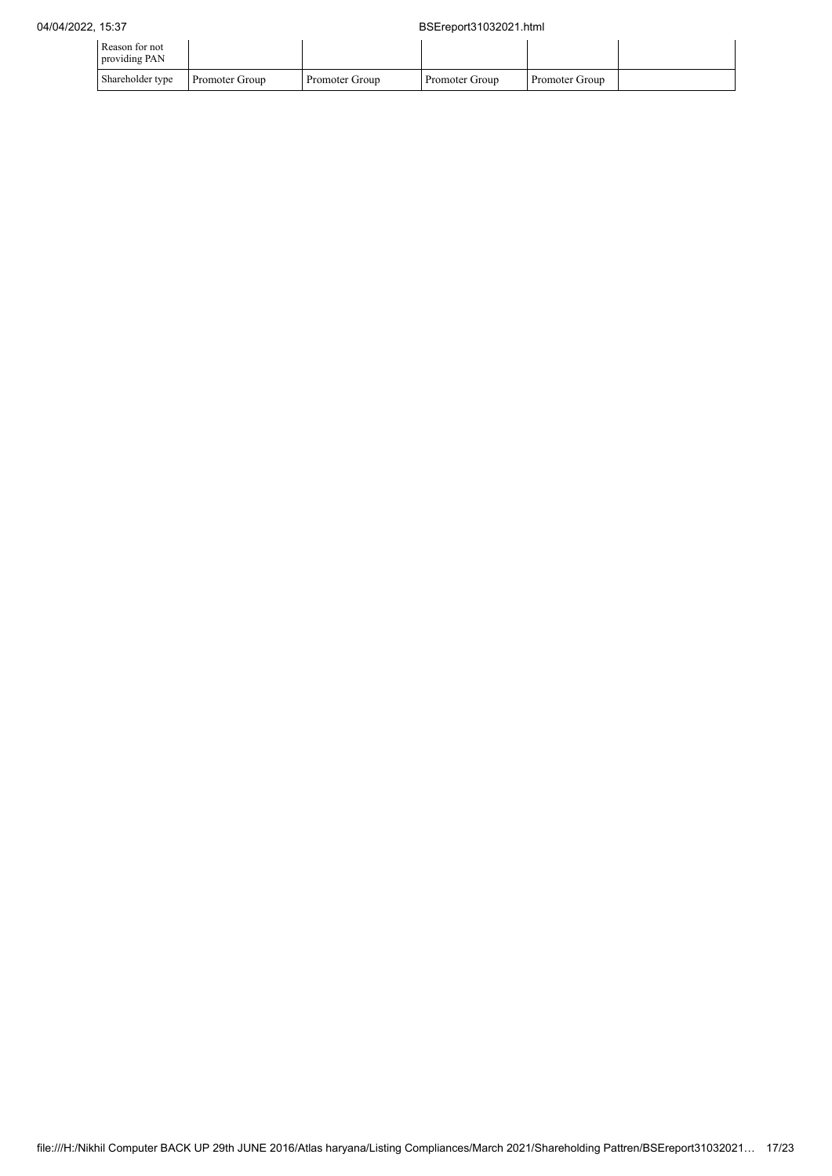| Reason for not<br>providing PAN |                |                |                |                |  |
|---------------------------------|----------------|----------------|----------------|----------------|--|
| Shareholder type                | Promoter Group | Promoter Group | Promoter Group | Promoter Group |  |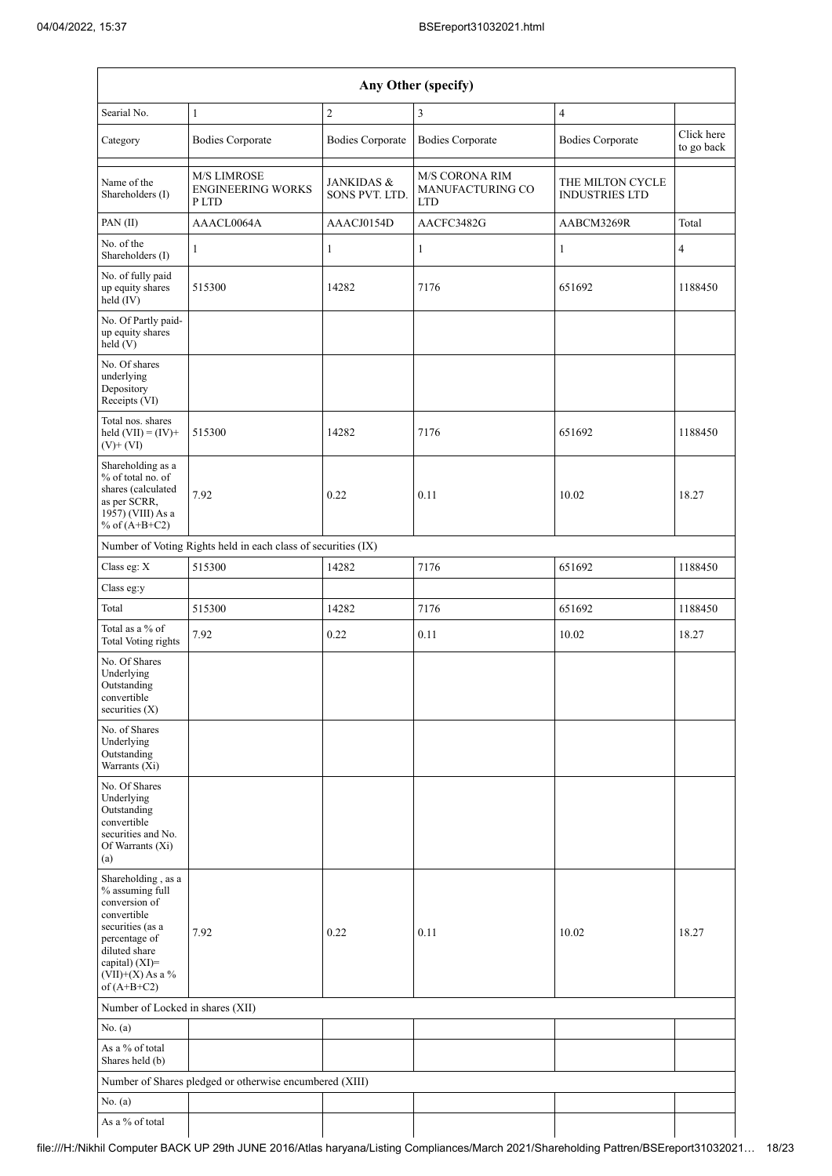| Any Other (specify)                                                                                                                                                                  |                                                               |                                         |                                                  |                                           |                          |  |  |
|--------------------------------------------------------------------------------------------------------------------------------------------------------------------------------------|---------------------------------------------------------------|-----------------------------------------|--------------------------------------------------|-------------------------------------------|--------------------------|--|--|
| Searial No.                                                                                                                                                                          | $\mathbf{1}$                                                  | $\overline{c}$                          | 3                                                | $\overline{4}$                            |                          |  |  |
| Category                                                                                                                                                                             | <b>Bodies Corporate</b>                                       | <b>Bodies Corporate</b>                 | <b>Bodies Corporate</b>                          | <b>Bodies Corporate</b>                   | Click here<br>to go back |  |  |
| Name of the<br>Shareholders (I)                                                                                                                                                      | <b>M/S LIMROSE</b><br><b>ENGINEERING WORKS</b><br>P LTD       | <b>JANKIDAS &amp;</b><br>SONS PVT. LTD. | M/S CORONA RIM<br>MANUFACTURING CO<br><b>LTD</b> | THE MILTON CYCLE<br><b>INDUSTRIES LTD</b> |                          |  |  |
| PAN(II)                                                                                                                                                                              | AAACL0064A                                                    | AAACJ0154D                              | AACFC3482G                                       | AABCM3269R                                | Total                    |  |  |
| No. of the<br>Shareholders (I)                                                                                                                                                       | 1                                                             | $\mathbf{1}$                            | 1                                                | 1                                         | $\overline{4}$           |  |  |
| No. of fully paid<br>up equity shares<br>held (IV)                                                                                                                                   | 515300                                                        | 14282                                   | 7176                                             | 651692                                    | 1188450                  |  |  |
| No. Of Partly paid-<br>up equity shares<br>held (V)                                                                                                                                  |                                                               |                                         |                                                  |                                           |                          |  |  |
| No. Of shares<br>underlying<br>Depository<br>Receipts (VI)                                                                                                                           |                                                               |                                         |                                                  |                                           |                          |  |  |
| Total nos. shares<br>held $(VII) = (IV) +$<br>$(V)$ + $(VI)$                                                                                                                         | 515300                                                        | 14282                                   | 7176                                             | 651692                                    | 1188450                  |  |  |
| Shareholding as a<br>% of total no. of<br>shares (calculated<br>as per SCRR,<br>1957) (VIII) As a<br>% of $(A+B+C2)$                                                                 | 7.92                                                          | 0.22                                    | 0.11                                             | 10.02                                     | 18.27                    |  |  |
|                                                                                                                                                                                      | Number of Voting Rights held in each class of securities (IX) |                                         |                                                  |                                           |                          |  |  |
| Class eg: X                                                                                                                                                                          | 515300                                                        | 14282                                   | 7176                                             | 651692                                    | 1188450                  |  |  |
| Class eg:y                                                                                                                                                                           |                                                               |                                         |                                                  |                                           |                          |  |  |
| Total                                                                                                                                                                                | 515300                                                        | 14282                                   | 7176                                             | 651692                                    | 1188450                  |  |  |
| Total as a % of<br><b>Total Voting rights</b>                                                                                                                                        | 7.92                                                          | 0.22                                    | 0.11                                             | 10.02                                     | 18.27                    |  |  |
| No. Of Shares<br>Underlying<br>Outstanding<br>convertible<br>securities $(X)$                                                                                                        |                                                               |                                         |                                                  |                                           |                          |  |  |
| No. of Shares<br>Underlying<br>Outstanding<br>Warrants (Xi)                                                                                                                          |                                                               |                                         |                                                  |                                           |                          |  |  |
| No. Of Shares<br>Underlying<br>Outstanding<br>convertible<br>securities and No.<br>Of Warrants (Xi)<br>(a)                                                                           |                                                               |                                         |                                                  |                                           |                          |  |  |
| Shareholding, as a<br>% assuming full<br>conversion of<br>convertible<br>securities (as a<br>percentage of<br>diluted share<br>capital) (XI)=<br>$(VII)+(X)$ As a %<br>of $(A+B+C2)$ | 7.92                                                          | 0.22                                    | 0.11                                             | 10.02                                     | 18.27                    |  |  |
| Number of Locked in shares (XII)                                                                                                                                                     |                                                               |                                         |                                                  |                                           |                          |  |  |
| No. (a)                                                                                                                                                                              |                                                               |                                         |                                                  |                                           |                          |  |  |
| As a % of total<br>Shares held (b)                                                                                                                                                   |                                                               |                                         |                                                  |                                           |                          |  |  |
|                                                                                                                                                                                      | Number of Shares pledged or otherwise encumbered (XIII)       |                                         |                                                  |                                           |                          |  |  |
| No. (a)                                                                                                                                                                              |                                                               |                                         |                                                  |                                           |                          |  |  |
| As a % of total                                                                                                                                                                      |                                                               |                                         |                                                  |                                           |                          |  |  |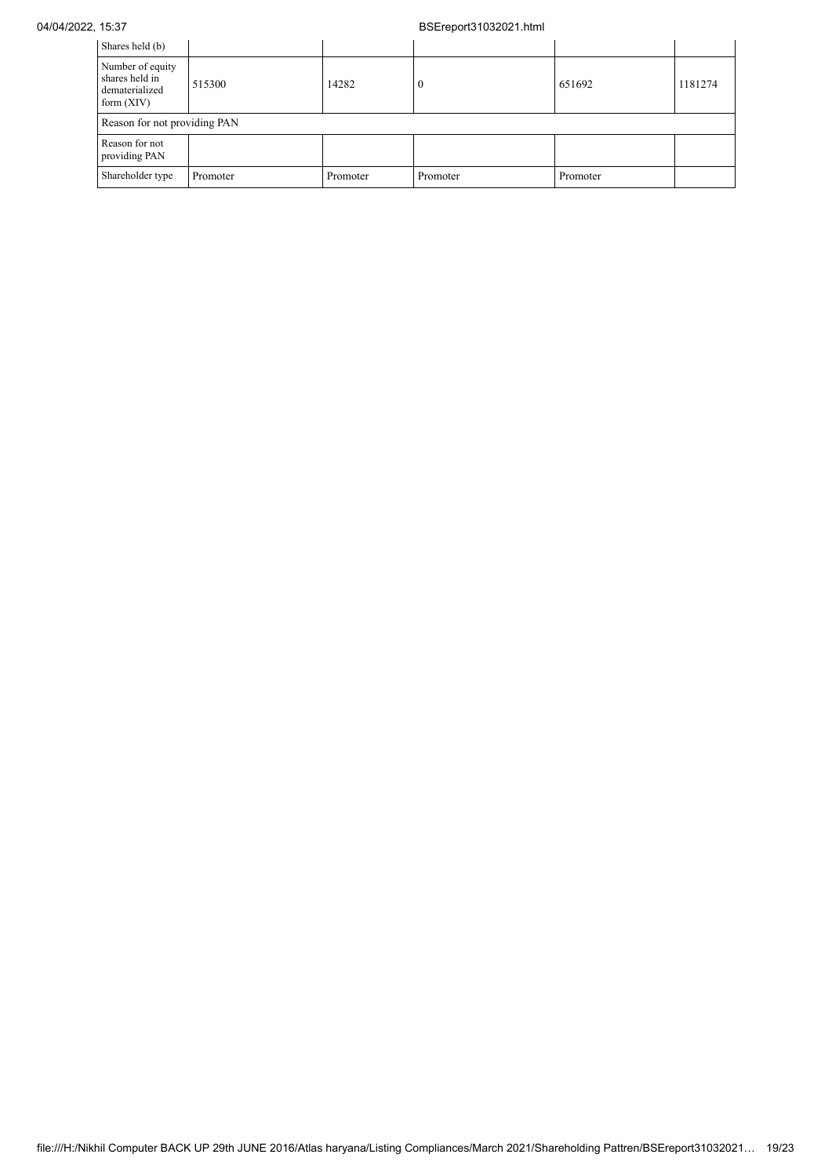## 04/04/2022, 15:37 BSEreport31032021.html

| Shares held (b)                                                      |                              |          |          |          |         |  |  |  |  |
|----------------------------------------------------------------------|------------------------------|----------|----------|----------|---------|--|--|--|--|
| Number of equity<br>shares held in<br>dematerialized<br>form $(XIV)$ | 515300                       | 14282    |          | 651692   | 1181274 |  |  |  |  |
|                                                                      | Reason for not providing PAN |          |          |          |         |  |  |  |  |
| Reason for not<br>providing PAN                                      |                              |          |          |          |         |  |  |  |  |
| Shareholder type                                                     | Promoter                     | Promoter | Promoter | Promoter |         |  |  |  |  |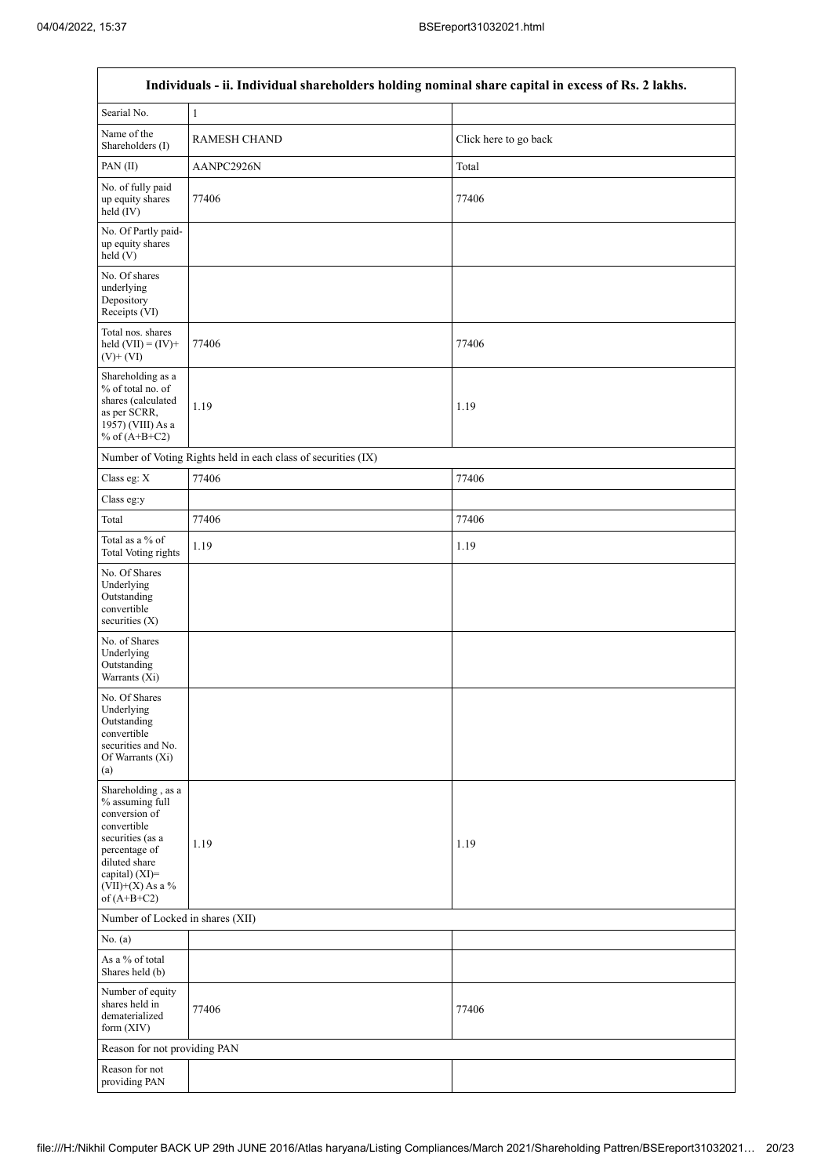$\overline{1}$ 

٦

|                                                                                                                                                                                      | Individuals - ii. Individual shareholders holding nominal share capital in excess of Rs. 2 lakhs. |                       |
|--------------------------------------------------------------------------------------------------------------------------------------------------------------------------------------|---------------------------------------------------------------------------------------------------|-----------------------|
| Searial No.                                                                                                                                                                          | 1                                                                                                 |                       |
| Name of the<br>Shareholders (I)                                                                                                                                                      | <b>RAMESH CHAND</b>                                                                               | Click here to go back |
| PAN(II)                                                                                                                                                                              | AANPC2926N                                                                                        | Total                 |
| No. of fully paid<br>up equity shares<br>held $(IV)$                                                                                                                                 | 77406                                                                                             | 77406                 |
| No. Of Partly paid-<br>up equity shares<br>held(V)                                                                                                                                   |                                                                                                   |                       |
| No. Of shares<br>underlying<br>Depository<br>Receipts (VI)                                                                                                                           |                                                                                                   |                       |
| Total nos. shares<br>held $(VII) = (IV) +$<br>$(V)$ + $(VI)$                                                                                                                         | 77406                                                                                             | 77406                 |
| Shareholding as a<br>% of total no. of<br>shares (calculated<br>as per SCRR,<br>1957) (VIII) As a<br>% of $(A+B+C2)$                                                                 | 1.19                                                                                              | 1.19                  |
|                                                                                                                                                                                      | Number of Voting Rights held in each class of securities (IX)                                     |                       |
| Class eg: X                                                                                                                                                                          | 77406                                                                                             | 77406                 |
| Class eg:y                                                                                                                                                                           |                                                                                                   |                       |
| Total                                                                                                                                                                                | 77406                                                                                             | 77406                 |
| Total as a % of<br><b>Total Voting rights</b>                                                                                                                                        | 1.19                                                                                              | 1.19                  |
| No. Of Shares<br>Underlying<br>Outstanding<br>convertible<br>securities $(X)$                                                                                                        |                                                                                                   |                       |
| No. of Shares<br>Underlying<br>Outstanding<br>Warrants (Xi)                                                                                                                          |                                                                                                   |                       |
| No. Of Shares<br>Underlying<br>Outstanding<br>convertible<br>securities and No.<br>Of Warrants (Xi)<br>(a)                                                                           |                                                                                                   |                       |
| Shareholding, as a<br>% assuming full<br>conversion of<br>convertible<br>securities (as a<br>percentage of<br>diluted share<br>capital) (XI)=<br>$(VII)+(X)$ As a %<br>of $(A+B+C2)$ | 1.19                                                                                              | 1.19                  |
| Number of Locked in shares (XII)                                                                                                                                                     |                                                                                                   |                       |
| No. (a)                                                                                                                                                                              |                                                                                                   |                       |
| As a % of total<br>Shares held (b)                                                                                                                                                   |                                                                                                   |                       |
| Number of equity<br>shares held in<br>dematerialized<br>form (XIV)                                                                                                                   | 77406                                                                                             | 77406                 |
| Reason for not providing PAN                                                                                                                                                         |                                                                                                   |                       |
| Reason for not<br>providing PAN                                                                                                                                                      |                                                                                                   |                       |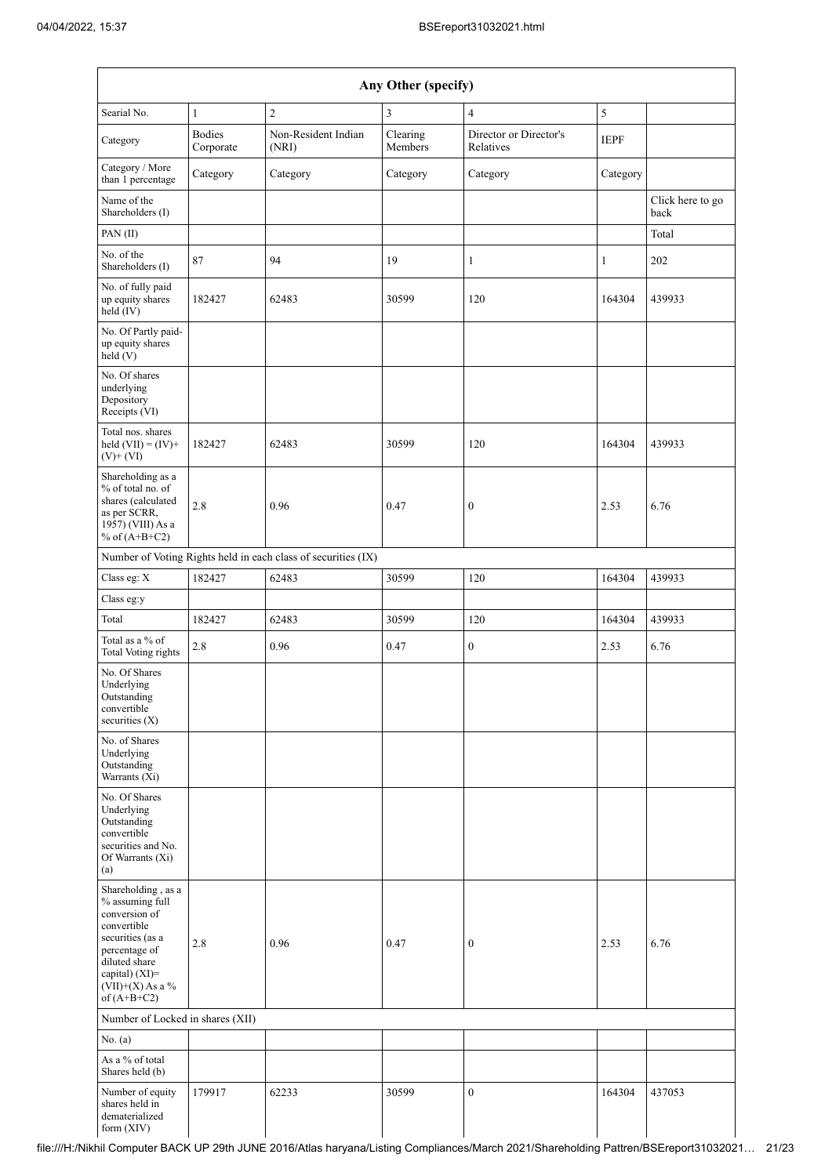| Any Other (specify)                                                                                                                                                                  |                            |                                                               |                     |                                     |             |                          |  |  |  |
|--------------------------------------------------------------------------------------------------------------------------------------------------------------------------------------|----------------------------|---------------------------------------------------------------|---------------------|-------------------------------------|-------------|--------------------------|--|--|--|
| Searial No.                                                                                                                                                                          | $\mathbf{1}$               | $\overline{2}$                                                | 3                   | $\overline{4}$                      | 5           |                          |  |  |  |
| Category                                                                                                                                                                             | <b>Bodies</b><br>Corporate | Non-Resident Indian<br>(NRI)                                  | Clearing<br>Members | Director or Director's<br>Relatives | <b>IEPF</b> |                          |  |  |  |
| Category / More<br>than 1 percentage                                                                                                                                                 | Category                   | Category                                                      | Category            | Category                            | Category    |                          |  |  |  |
| Name of the<br>Shareholders (I)                                                                                                                                                      |                            |                                                               |                     |                                     |             | Click here to go<br>back |  |  |  |
| PAN(II)                                                                                                                                                                              |                            |                                                               |                     |                                     |             | Total                    |  |  |  |
| No. of the<br>Shareholders (I)                                                                                                                                                       | 87                         | 94                                                            | 19                  | $\mathbf{1}$                        | 1           | 202                      |  |  |  |
| No. of fully paid<br>up equity shares<br>held (IV)                                                                                                                                   | 182427                     | 62483                                                         | 30599               | 120                                 | 164304      | 439933                   |  |  |  |
| No. Of Partly paid-<br>up equity shares<br>held(V)                                                                                                                                   |                            |                                                               |                     |                                     |             |                          |  |  |  |
| No. Of shares<br>underlying<br>Depository<br>Receipts (VI)                                                                                                                           |                            |                                                               |                     |                                     |             |                          |  |  |  |
| Total nos. shares<br>held $(VII) = (IV) +$<br>$(V)$ + $(VI)$                                                                                                                         | 182427                     | 62483                                                         | 30599               | 120                                 | 164304      | 439933                   |  |  |  |
| Shareholding as a<br>% of total no. of<br>shares (calculated<br>as per SCRR,<br>1957) (VIII) As a<br>% of $(A+B+C2)$                                                                 | 2.8                        | 0.96                                                          | 0.47                | $\boldsymbol{0}$                    | 2.53        | 6.76                     |  |  |  |
|                                                                                                                                                                                      |                            | Number of Voting Rights held in each class of securities (IX) |                     |                                     |             |                          |  |  |  |
| Class eg: X                                                                                                                                                                          | 182427                     | 62483                                                         | 30599               | 120                                 | 164304      | 439933                   |  |  |  |
| Class eg:y                                                                                                                                                                           |                            |                                                               |                     |                                     |             |                          |  |  |  |
| Total                                                                                                                                                                                | 182427                     | 62483                                                         | 30599               | 120                                 | 164304      | 439933                   |  |  |  |
| Total as a % of<br><b>Total Voting rights</b>                                                                                                                                        | 2.8                        | 0.96                                                          | 0.47                | 0                                   | 2.53        | 6.76                     |  |  |  |
| No. Of Shares<br>Underlying<br>Outstanding<br>convertible<br>securities (X)                                                                                                          |                            |                                                               |                     |                                     |             |                          |  |  |  |
| No. of Shares<br>Underlying<br>Outstanding<br>Warrants (Xi)                                                                                                                          |                            |                                                               |                     |                                     |             |                          |  |  |  |
| No. Of Shares<br>Underlying<br>Outstanding<br>convertible<br>securities and No.<br>Of Warrants (Xi)<br>(a)                                                                           |                            |                                                               |                     |                                     |             |                          |  |  |  |
| Shareholding, as a<br>% assuming full<br>conversion of<br>convertible<br>securities (as a<br>percentage of<br>diluted share<br>capital) (XI)=<br>$(VII)+(X)$ As a %<br>of $(A+B+C2)$ | 2.8                        | 0.96                                                          | 0.47                | $\boldsymbol{0}$                    | 2.53        | 6.76                     |  |  |  |
| Number of Locked in shares (XII)                                                                                                                                                     |                            |                                                               |                     |                                     |             |                          |  |  |  |
| No. (a)                                                                                                                                                                              |                            |                                                               |                     |                                     |             |                          |  |  |  |
| As a % of total<br>Shares held (b)                                                                                                                                                   |                            |                                                               |                     |                                     |             |                          |  |  |  |
| Number of equity<br>shares held in<br>dematerialized<br>form (XIV)                                                                                                                   | 179917                     | 62233                                                         | 30599               | $\boldsymbol{0}$                    | 164304      | 437053                   |  |  |  |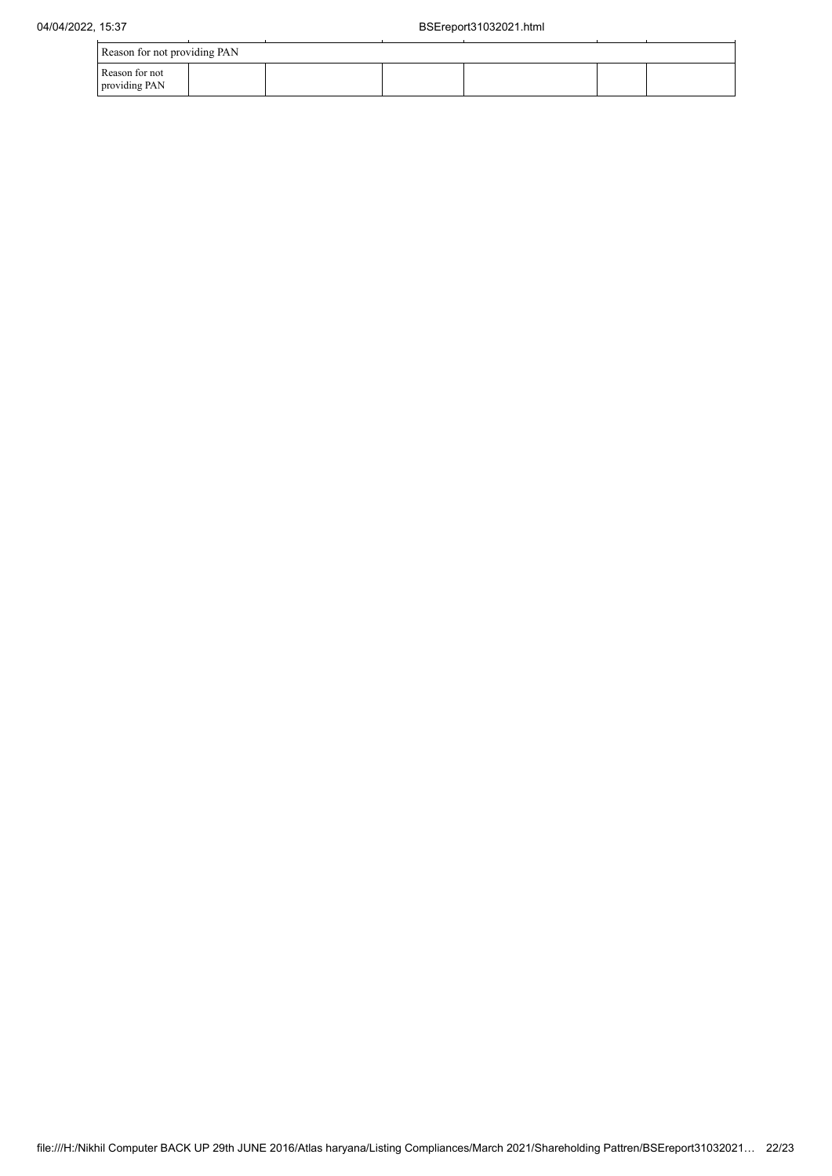| Reason for not providing PAN    |  |  |  |  |  |  |  |
|---------------------------------|--|--|--|--|--|--|--|
| Reason for not<br>providing PAN |  |  |  |  |  |  |  |